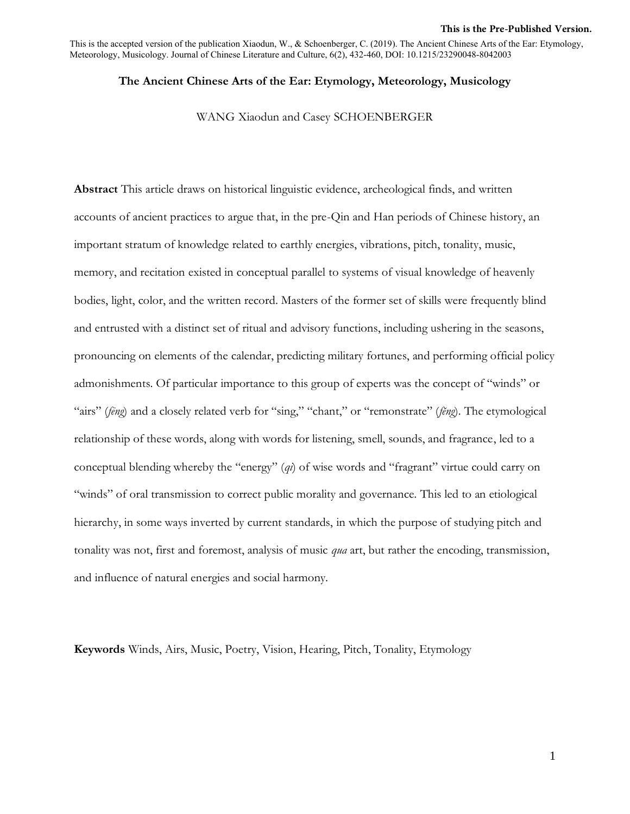#### **This is the Pre-Published Version.**

This is the accepted version of the publication Xiaodun, W., & Schoenberger, C. (2019). The Ancient Chinese Arts of the Ear: Etymology, Meteorology, Musicology. Journal of Chinese Literature and Culture, 6(2), 432-460, DOI: 10.1215/23290048-8042003

## **The Ancient Chinese Arts of the Ear: Etymology, Meteorology, Musicology**

WANG Xiaodun and Casey SCHOENBERGER

**Abstract** This article draws on historical linguistic evidence, archeological finds, and written accounts of ancient practices to argue that, in the pre-Qin and Han periods of Chinese history, an important stratum of knowledge related to earthly energies, vibrations, pitch, tonality, music, memory, and recitation existed in conceptual parallel to systems of visual knowledge of heavenly bodies, light, color, and the written record. Masters of the former set of skills were frequently blind and entrusted with a distinct set of ritual and advisory functions, including ushering in the seasons, pronouncing on elements of the calendar, predicting military fortunes, and performing official policy admonishments. Of particular importance to this group of experts was the concept of "winds" or "airs" (*fēng*) and a closely related verb for "sing," "chant," or "remonstrate" (*fĕng*). The etymological relationship of these words, along with words for listening, smell, sounds, and fragrance, led to a conceptual blending whereby the "energy" (*qi*) of wise words and "fragrant" virtue could carry on "winds" of oral transmission to correct public morality and governance. This led to an etiological hierarchy, in some ways inverted by current standards, in which the purpose of studying pitch and tonality was not, first and foremost, analysis of music *qua* art, but rather the encoding, transmission, and influence of natural energies and social harmony.

**Keywords** Winds, Airs, Music, Poetry, Vision, Hearing, Pitch, Tonality, Etymology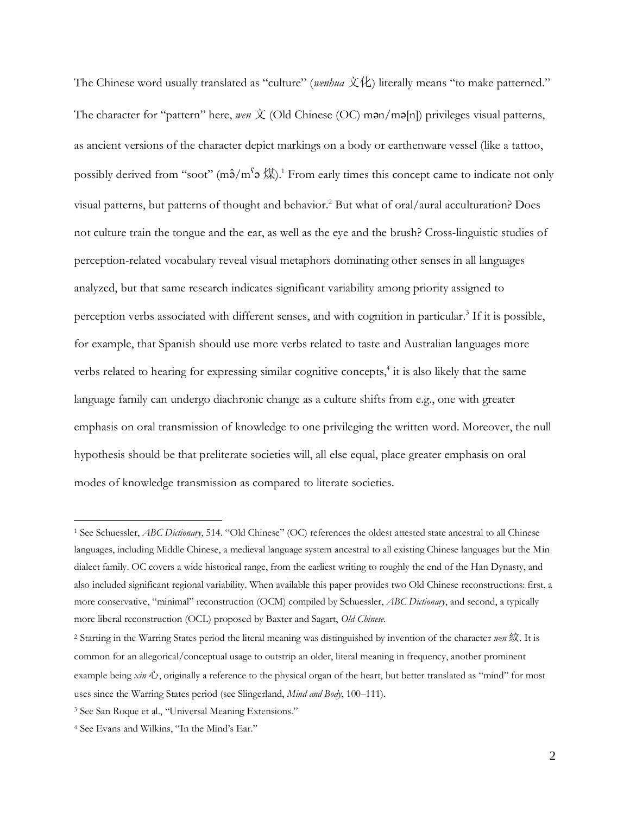The Chinese word usually translated as "culture" (*wenhua* 文化) literally means "to make patterned." The character for "pattern" here, *wen*  $\overline{X}$  (Old Chinese (OC) man/ma[n]) privileges visual patterns, as ancient versions of the character depict markings on a body or earthenware vessel (like a tattoo, possibly derived from "soot" (m $\hat{\Theta}/m^S \Theta \not\gg 1$ . From early times this concept came to indicate not only visual patterns, but patterns of thought and behavior. <sup>2</sup> But what of oral/aural acculturation? Does not culture train the tongue and the ear, as well as the eye and the brush? Cross-linguistic studies of perception-related vocabulary reveal visual metaphors dominating other senses in all languages analyzed, but that same research indicates significant variability among priority assigned to perception verbs associated with different senses, and with cognition in particular.<sup>3</sup> If it is possible, for example, that Spanish should use more verbs related to taste and Australian languages more verbs related to hearing for expressing similar cognitive concepts, 4 it is also likely that the same language family can undergo diachronic change as a culture shifts from e.g., one with greater emphasis on oral transmission of knowledge to one privileging the written word. Moreover, the null hypothesis should be that preliterate societies will, all else equal, place greater emphasis on oral modes of knowledge transmission as compared to literate societies.

<sup>1</sup> See Schuessler, *ABC Dictionary*, 514. "Old Chinese" (OC) references the oldest attested state ancestral to all Chinese languages, including Middle Chinese, a medieval language system ancestral to all existing Chinese languages but the Min dialect family. OC covers a wide historical range, from the earliest writing to roughly the end of the Han Dynasty, and also included significant regional variability. When available this paper provides two Old Chinese reconstructions: first, a more conservative, "minimal" reconstruction (OCM) compiled by Schuessler, *ABC Dictionary*, and second, a typically more liberal reconstruction (OCL) proposed by Baxter and Sagart, *Old Chinese*.

<sup>2</sup> Starting in the Warring States period the literal meaning was distinguished by invention of the character *wen* 紋. It is common for an allegorical/conceptual usage to outstrip an older, literal meaning in frequency, another prominent example being *xin* 心, originally a reference to the physical organ of the heart, but better translated as "mind" for most uses since the Warring States period (see Slingerland, *Mind and Body*, 100–111).

<sup>3</sup> See San Roque et al., "Universal Meaning Extensions."

<sup>4</sup> See Evans and Wilkins, "In the Mind's Ear."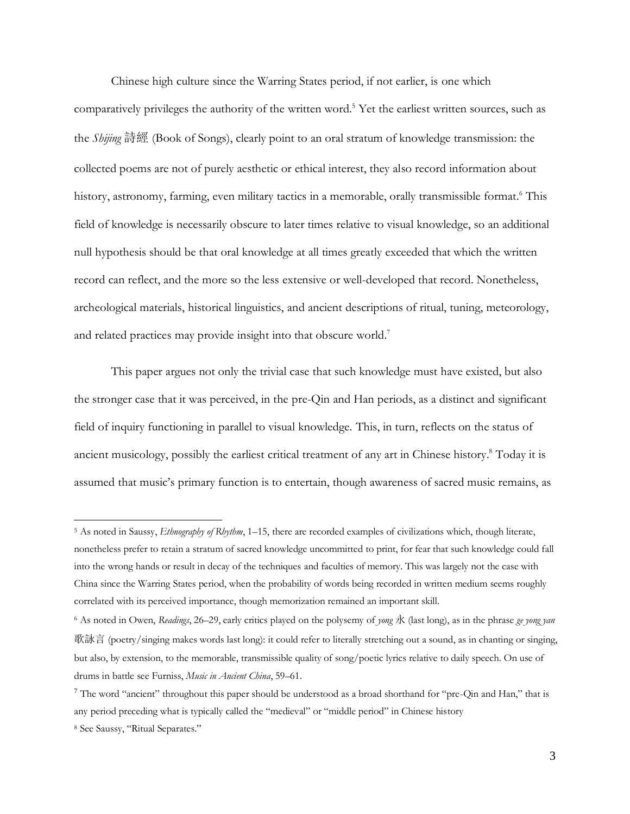Chinese high culture since the Warring States period, if not earlier, is one which comparatively privileges the authority of the written word.<sup>5</sup> Yet the earliest written sources, such as the *Shijing* 詩經 (Book of Songs), clearly point to an oral stratum of knowledge transmission: the collected poems are not of purely aesthetic or ethical interest, they also record information about history, astronomy, farming, even military tactics in a memorable, orally transmissible format.<sup>6</sup> This field of knowledge is necessarily obscure to later times relative to visual knowledge, so an additional null hypothesis should be that oral knowledge at all times greatly exceeded that which the written record can reflect, and the more so the less extensive or well-developed that record. Nonetheless, archeological materials, historical linguistics, and ancient descriptions of ritual, tuning, meteorology, and related practices may provide insight into that obscure world.<sup>7</sup>

This paper argues not only the trivial case that such knowledge must have existed, but also the stronger case that it was perceived, in the pre-Qin and Han periods, as a distinct and significant field of inquiry functioning in parallel to visual knowledge. This, in turn, reflects on the status of ancient musicology, possibly the earliest critical treatment of any art in Chinese history. <sup>8</sup> Today it is assumed that music's primary function is to entertain, though awareness of sacred music remains, as

<sup>5</sup> As noted in Saussy, *Ethnography of Rhythm*, 1–15, there are recorded examples of civilizations which, though literate, nonetheless prefer to retain a stratum of sacred knowledge uncommitted to print, for fear that such knowledge could fall into the wrong hands or result in decay of the techniques and faculties of memory. This was largely not the case with China since the Warring States period, when the probability of words being recorded in written medium seems roughly correlated with its perceived importance, though memorization remained an important skill.

<sup>6</sup> As noted in Owen, *Readings*, 26–29, early critics played on the polysemy of *yong* 永 (last long), as in the phrase *ge yong yan* 歌詠言 (poetry/singing makes words last long): it could refer to literally stretching out a sound, as in chanting or singing, but also, by extension, to the memorable, transmissible quality of song/poetic lyrics relative to daily speech. On use of drums in battle see Furniss, *Music in Ancient China*, 59–61.

<sup>&</sup>lt;sup>7</sup> The word "ancient" throughout this paper should be understood as a broad shorthand for "pre-Qin and Han," that is any period preceding what is typically called the "medieval" or "middle period" in Chinese history

<sup>8</sup> See Saussy, "Ritual Separates."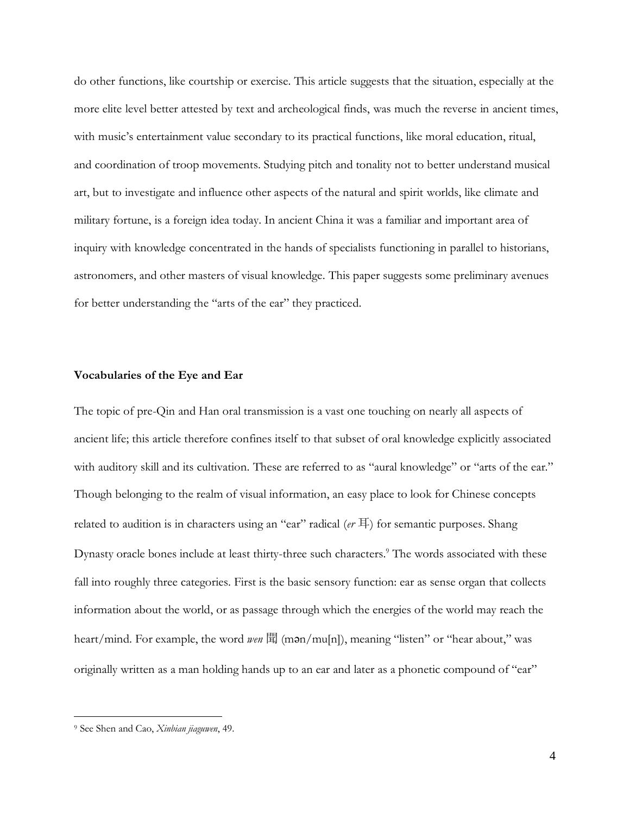do other functions, like courtship or exercise. This article suggests that the situation, especially at the more elite level better attested by text and archeological finds, was much the reverse in ancient times, with music's entertainment value secondary to its practical functions, like moral education, ritual, and coordination of troop movements. Studying pitch and tonality not to better understand musical art, but to investigate and influence other aspects of the natural and spirit worlds, like climate and military fortune, is a foreign idea today. In ancient China it was a familiar and important area of inquiry with knowledge concentrated in the hands of specialists functioning in parallel to historians, astronomers, and other masters of visual knowledge. This paper suggests some preliminary avenues for better understanding the "arts of the ear" they practiced.

### **Vocabularies of the Eye and Ear**

The topic of pre-Qin and Han oral transmission is a vast one touching on nearly all aspects of ancient life; this article therefore confines itself to that subset of oral knowledge explicitly associated with auditory skill and its cultivation. These are referred to as "aural knowledge" or "arts of the ear." Though belonging to the realm of visual information, an easy place to look for Chinese concepts related to audition is in characters using an "ear" radical (*er* 耳) for semantic purposes. Shang Dynasty oracle bones include at least thirty-three such characters. <sup>9</sup> The words associated with these fall into roughly three categories. First is the basic sensory function: ear as sense organ that collects information about the world, or as passage through which the energies of the world may reach the heart/mind. For example, the word *wen* 聞 (mən/mu[n]), meaning "listen" or "hear about," was originally written as a man holding hands up to an ear and later as a phonetic compound of "ear"

<sup>9</sup> See Shen and Cao, *Xinbian jiaguwen*, 49.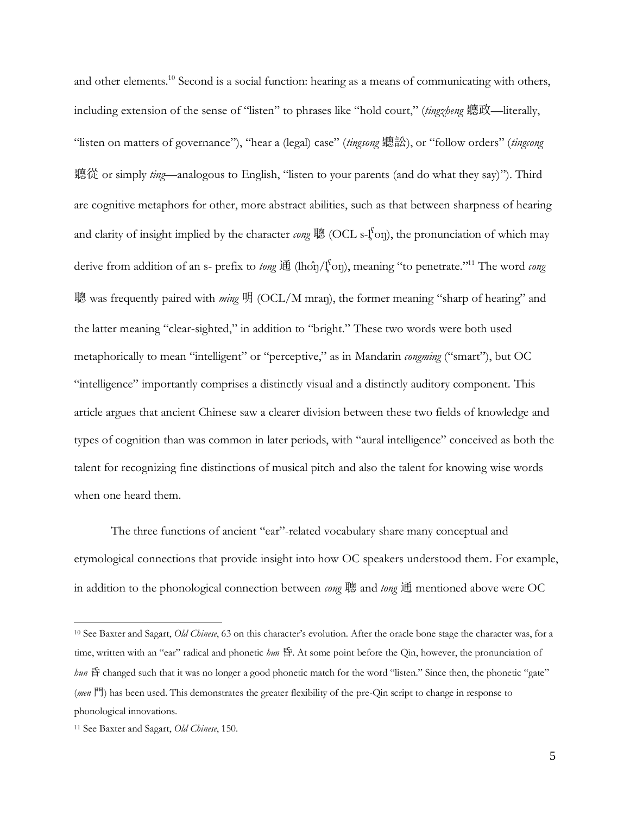and other elements.<sup>10</sup> Second is a social function: hearing as a means of communicating with others, including extension of the sense of "listen" to phrases like "hold court," (*tingzheng* 聽政—literally, "listen on matters of governance"), "hear a (legal) case" (*tingsong* 聽訟), or "follow orders" (*tingcong* 聽從 or simply *ting*—analogous to English, "listen to your parents (and do what they say)"). Third are cognitive metaphors for other, more abstract abilities, such as that between sharpness of hearing and clarity of insight implied by the character *cong* 聰 (OCL s-l̥ <sup>ʕ</sup>oŋ), the pronunciation of which may derive from addition of an s- prefix to *tong* 通 (lhôŋ/l̥<sup>to</sup>ŋ), meaning "to penetrate."<sup>11</sup> The word *cong* 聰 was frequently paired with *ming* 明 (OCL/M mran), the former meaning "sharp of hearing" and the latter meaning "clear-sighted," in addition to "bright." These two words were both used metaphorically to mean "intelligent" or "perceptive," as in Mandarin *congming* ("smart"), but OC "intelligence" importantly comprises a distinctly visual and a distinctly auditory component. This article argues that ancient Chinese saw a clearer division between these two fields of knowledge and types of cognition than was common in later periods, with "aural intelligence" conceived as both the talent for recognizing fine distinctions of musical pitch and also the talent for knowing wise words when one heard them.

The three functions of ancient "ear"-related vocabulary share many conceptual and etymological connections that provide insight into how OC speakers understood them. For example, in addition to the phonological connection between *cong* 聰 and *tong* 通 mentioned above were OC

<sup>10</sup> See Baxter and Sagart, *Old Chinese*, 63 on this character's evolution. After the oracle bone stage the character was, for a time, written with an "ear" radical and phonetic *hun* 昏. At some point before the Qin, however, the pronunciation of *hun* 昏 changed such that it was no longer a good phonetic match for the word "listen." Since then, the phonetic "gate" (*men* 門) has been used. This demonstrates the greater flexibility of the pre-Qin script to change in response to phonological innovations.

<sup>11</sup> See Baxter and Sagart, *Old Chinese*, 150.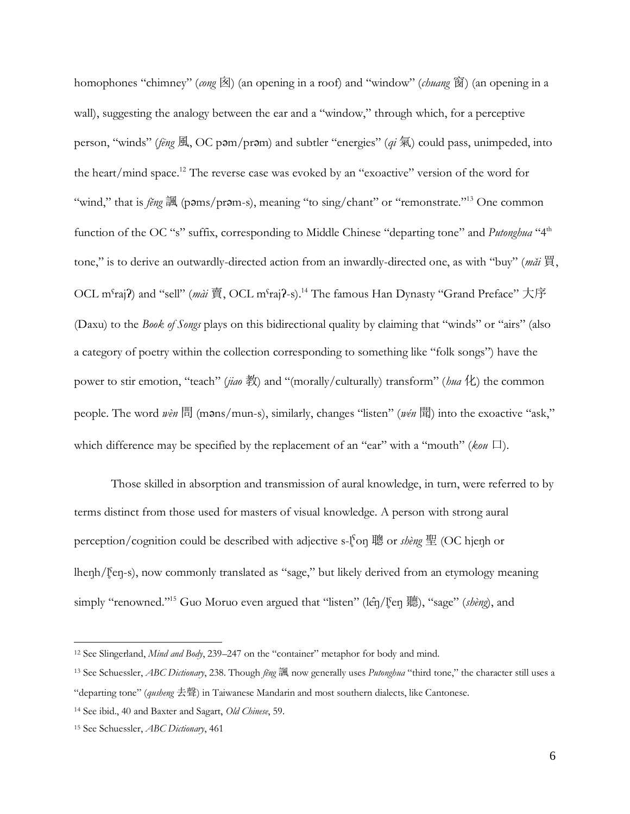homophones "chimney" (*cong* 囟) (an opening in a roof) and "window" (*chuang* 窗) (an opening in a wall), suggesting the analogy between the ear and a "window," through which, for a perceptive person, "winds" (*fēng* 風, OC pəm/prəm) and subtler "energies" (*qi* 氣) could pass, unimpeded, into the heart/mind space.<sup>12</sup> The reverse case was evoked by an "exoactive" version of the word for "wind," that is *fĕng* 諷 (pəms/prəm-s), meaning "to sing/chant" or "remonstrate." <sup>13</sup> One common function of the OC "s" suffix, corresponding to Middle Chinese "departing tone" and *Putonghua* "4<sup>th</sup> tone," is to derive an outwardly-directed action from an inwardly-directed one, as with "buy" (*măi* 買, OCL m<sup>s</sup>raj?) and "sell" (*mài* 賈, OCL m<sup>s</sup>raj?-s).<sup>14</sup> The famous Han Dynasty "Grand Preface" 大序 (Daxu) to the *Book of Songs* plays on this bidirectional quality by claiming that "winds" or "airs" (also a category of poetry within the collection corresponding to something like "folk songs") have the power to stir emotion, "teach" (*jiao* 教) and "(morally/culturally) transform" (*hua* 化) the common people. The word *wèn* 問 (məns/mun-s), similarly, changes "listen" (*wén* 聞) into the exoactive "ask," which difference may be specified by the replacement of an "ear" with a "mouth" (*kou* 口).

Those skilled in absorption and transmission of aural knowledge, in turn, were referred to by terms distinct from those used for masters of visual knowledge. A person with strong aural perception/cognition could be described with adjective s-l<sup>s</sup>on 聰 or *shèng* 聖 (OC hjenh or lhenh/l<sup>s</sup>en-s), now commonly translated as "sage," but likely derived from an etymology meaning simply "renowned." <sup>15</sup> Guo Moruo even argued that "listen" (lêŋ/l̥ˤeŋ 聽), "sage" (*shèng*), and

<sup>12</sup> See Slingerland, *Mind and Body*, 239–247 on the "container" metaphor for body and mind.

<sup>13</sup> See Schuessler, *ABC Dictionary*, 238. Though *fĕng* 諷 now generally uses *Putonghua* "third tone," the character still uses a "departing tone" (*qusheng* 去聲) in Taiwanese Mandarin and most southern dialects, like Cantonese.

<sup>14</sup> See ibid., 40 and Baxter and Sagart, *Old Chinese*, 59.

<sup>15</sup> See Schuessler, *ABC Dictionary*, 461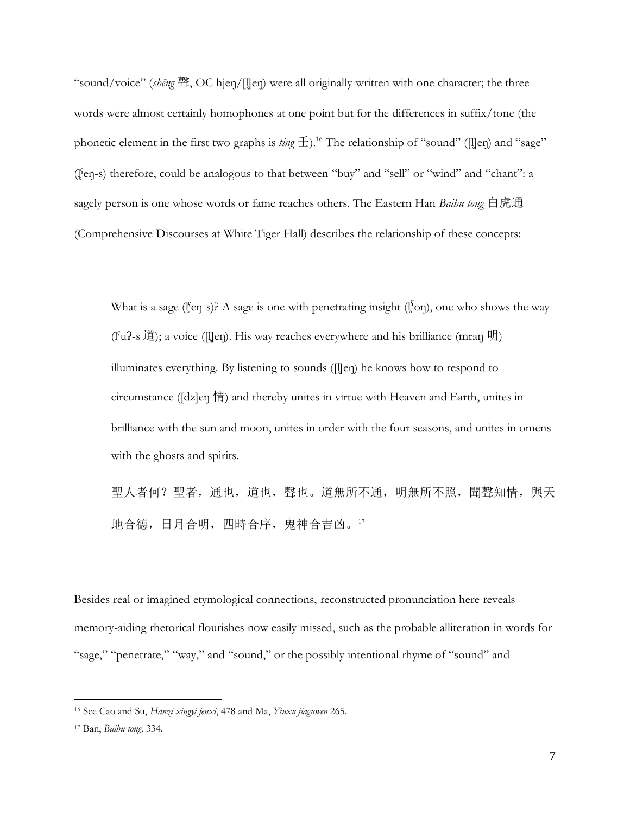"sound/voice" (*shēng* 聲, OC hjeŋ/[l̥]eŋ) were all originally written with one character; the three words were almost certainly homophones at one point but for the differences in suffix/tone (the phonetic element in the first two graphs is *ting*  $\pm$ ).<sup>16</sup> The relationship of "sound" ([l̥]eŋ) and "sage" (l̥ˤeŋ-s) therefore, could be analogous to that between "buy" and "sell" or "wind" and "chant": a sagely person is one whose words or fame reaches others. The Eastern Han *Baihu tong* 白虎通 (Comprehensive Discourses at White Tiger Hall) describes the relationship of these concepts:

What is a sage (l̥<sup>s</sup>eŋ-s)? A sage is one with penetrating insight (l̥<sup>s</sup>oŋ), one who shows the way (I<sup>s</sup>u?-s 道); a voice (II]en). His way reaches everywhere and his brilliance (mran 明) illuminates everything. By listening to sounds ([l̥]eŋ) he knows how to respond to circumstance ([dz]eŋ 情) and thereby unites in virtue with Heaven and Earth, unites in brilliance with the sun and moon, unites in order with the four seasons, and unites in omens with the ghosts and spirits.

聖人者何?聖者,通也,道也,聲也。道無所不通,明無所不照,聞聲知情,與天 地合德,日月合明,四時合序,鬼神合吉凶。<sup>17</sup>

Besides real or imagined etymological connections, reconstructed pronunciation here reveals memory-aiding rhetorical flourishes now easily missed, such as the probable alliteration in words for "sage," "penetrate," "way," and "sound," or the possibly intentional rhyme of "sound" and

<sup>16</sup> See Cao and Su, *Hanzi xingyi fenxi*, 478 and Ma, *Yinxu jiaguwen* 265.

<sup>17</sup> Ban, *Baihu tong*, 334.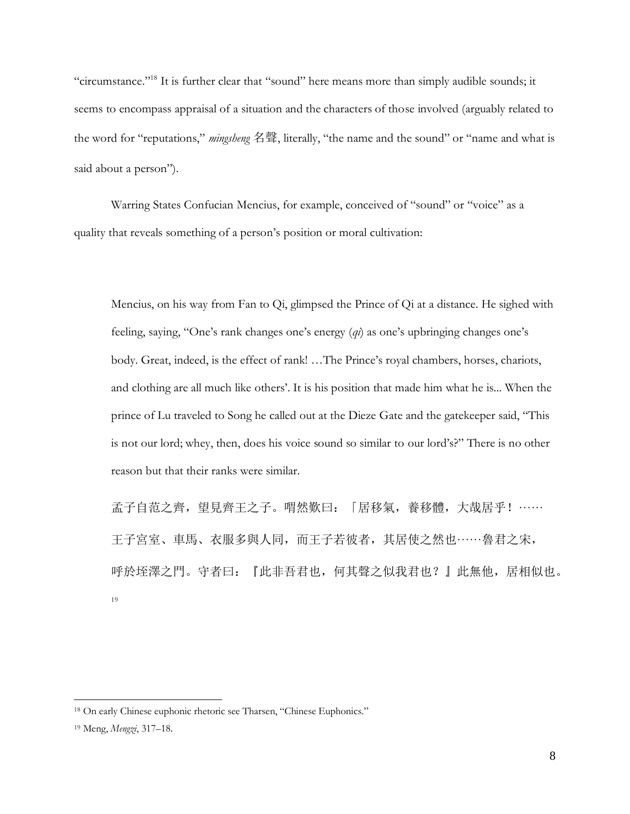"circumstance."<sup>18</sup> It is further clear that "sound" here means more than simply audible sounds; it seems to encompass appraisal of a situation and the characters of those involved (arguably related to the word for "reputations," *mingsheng* 名聲, literally, "the name and the sound" or "name and what is said about a person").

Warring States Confucian Mencius, for example, conceived of "sound" or "voice" as a quality that reveals something of a person's position or moral cultivation:

Mencius, on his way from Fan to Qi, glimpsed the Prince of Qi at a distance. He sighed with feeling, saying, "One's rank changes one's energy (*qi*) as one's upbringing changes one's body. Great, indeed, is the effect of rank! …The Prince's royal chambers, horses, chariots, and clothing are all much like others'. It is his position that made him what he is... When the prince of Lu traveled to Song he called out at the Dieze Gate and the gatekeeper said, "This is not our lord; whey, then, does his voice sound so similar to our lord's?" There is no other reason but that their ranks were similar.

孟子自范之齊,望見齊王之子。喟然歎曰: 「居移氣,養移體,大哉居乎!…… 王子宮室、車馬、衣服多與人同,而王子若彼者,其居使之然也······魯君之宋, 呼於垤澤之門。守者曰:『此非吾君也,何其聲之似我君也?』此無他,居相似也。 19

<sup>18</sup> On early Chinese euphonic rhetoric see Tharsen, "Chinese Euphonics."

<sup>19</sup> Meng, *Mengzi*, 317–18.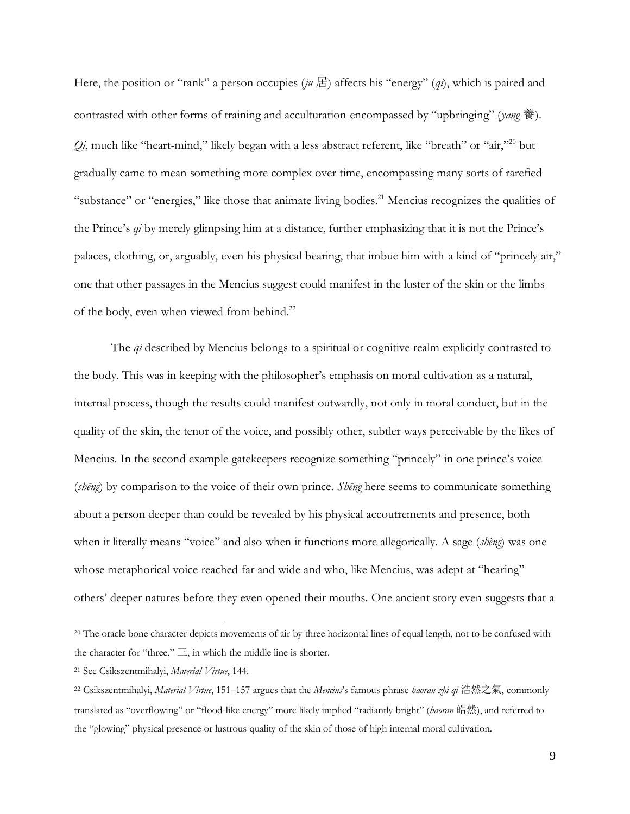Here, the position or "rank" a person occupies (*ju* 居) affects his "energy" (*qi*), which is paired and contrasted with other forms of training and acculturation encompassed by "upbringing" (*yang* 養). Qi, much like "heart-mind," likely began with a less abstract referent, like "breath" or "air,"<sup>20</sup> but gradually came to mean something more complex over time, encompassing many sorts of rarefied "substance" or "energies," like those that animate living bodies.<sup>21</sup> Mencius recognizes the qualities of the Prince's *qi* by merely glimpsing him at a distance, further emphasizing that it is not the Prince's palaces, clothing, or, arguably, even his physical bearing, that imbue him with a kind of "princely air," one that other passages in the Mencius suggest could manifest in the luster of the skin or the limbs of the body, even when viewed from behind.<sup>22</sup>

The *qi* described by Mencius belongs to a spiritual or cognitive realm explicitly contrasted to the body. This was in keeping with the philosopher's emphasis on moral cultivation as a natural, internal process, though the results could manifest outwardly, not only in moral conduct, but in the quality of the skin, the tenor of the voice, and possibly other, subtler ways perceivable by the likes of Mencius. In the second example gatekeepers recognize something "princely" in one prince's voice (*shēng*) by comparison to the voice of their own prince. *Shēng* here seems to communicate something about a person deeper than could be revealed by his physical accoutrements and presence, both when it literally means "voice" and also when it functions more allegorically. A sage (*shèng*) was one whose metaphorical voice reached far and wide and who, like Mencius, was adept at "hearing" others' deeper natures before they even opened their mouths. One ancient story even suggests that a

<sup>&</sup>lt;sup>20</sup> The oracle bone character depicts movements of air by three horizontal lines of equal length, not to be confused with the character for "three,"  $\equiv$ , in which the middle line is shorter.

<sup>21</sup> See Csikszentmihalyi, *Material Virtue*, 144.

<sup>22</sup> Csikszentmihalyi, *Material Virtue*, 151–157 argues that the *Mencius*'s famous phrase *haoran zhi qi* 浩然之氣, commonly translated as "overflowing" or "flood-like energy" more likely implied "radiantly bright" (*haoran* 皓然), and referred to the "glowing" physical presence or lustrous quality of the skin of those of high internal moral cultivation.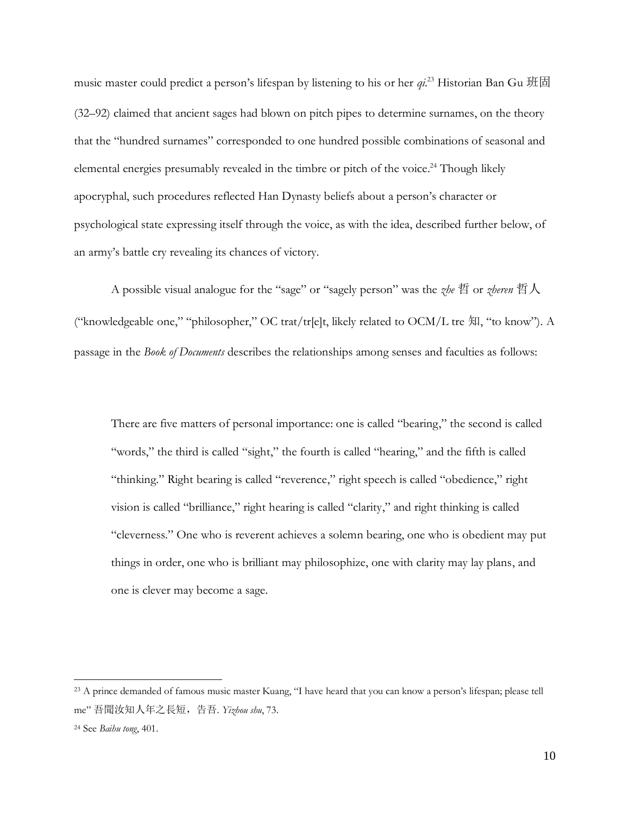music master could predict a person's lifespan by listening to his or her *qi*. <sup>23</sup> Historian Ban Gu 班固 (32–92) claimed that ancient sages had blown on pitch pipes to determine surnames, on the theory that the "hundred surnames" corresponded to one hundred possible combinations of seasonal and elemental energies presumably revealed in the timbre or pitch of the voice. <sup>24</sup> Though likely apocryphal, such procedures reflected Han Dynasty beliefs about a person's character or psychological state expressing itself through the voice, as with the idea, described further below, of an army's battle cry revealing its chances of victory.

A possible visual analogue for the "sage" or "sagely person" was the *zhe* 哲 or *zheren* 哲人 ("knowledgeable one," "philosopher," OC trat/tr[e]t, likely related to OCM/L tre 知, "to know"). A passage in the *Book of Documents* describes the relationships among senses and faculties as follows:

There are five matters of personal importance: one is called "bearing," the second is called "words," the third is called "sight," the fourth is called "hearing," and the fifth is called "thinking." Right bearing is called "reverence," right speech is called "obedience," right vision is called "brilliance," right hearing is called "clarity," and right thinking is called "cleverness." One who is reverent achieves a solemn bearing, one who is obedient may put things in order, one who is brilliant may philosophize, one with clarity may lay plans, and one is clever may become a sage.

<sup>&</sup>lt;sup>23</sup> A prince demanded of famous music master Kuang, "I have heard that you can know a person's lifespan; please tell me" 吾聞汝知人年之長短,告吾. *Yizhou shu*, 73.

<sup>24</sup> See *Baihu tong*, 401.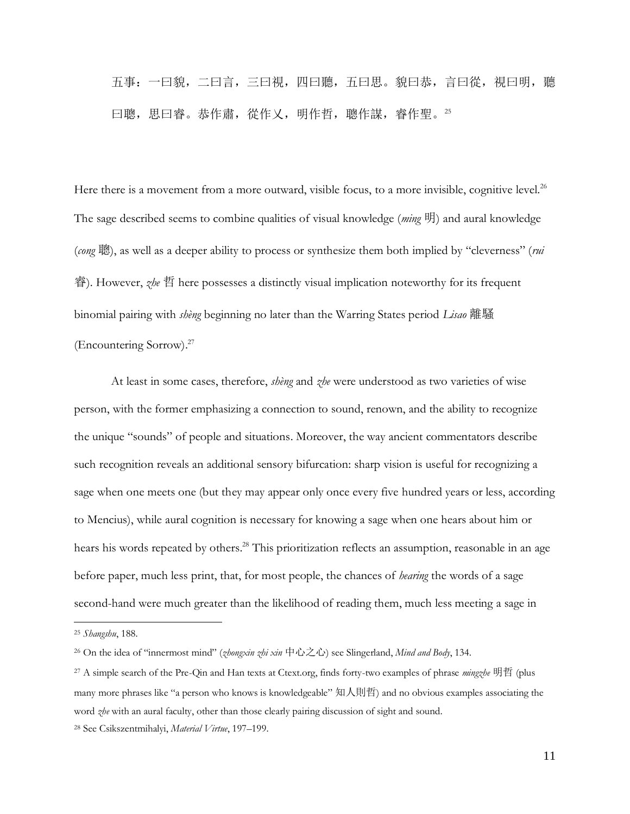五事:一曰貌,二曰言,三曰視,四曰聽,五曰思。貌曰恭,言曰從,視曰明,聽 曰聰,思曰睿。恭作肅,從作乂,明作哲,聰作謀,睿作聖。25

Here there is a movement from a more outward, visible focus, to a more invisible, cognitive level.<sup>26</sup> The sage described seems to combine qualities of visual knowledge (*ming* 明) and aural knowledge (*cong* 聰), as well as a deeper ability to process or synthesize them both implied by "cleverness" (*rui* 睿). However, *zhe* 哲 here possesses a distinctly visual implication noteworthy for its frequent binomial pairing with *shèng* beginning no later than the Warring States period *Lisao* 離騷 (Encountering Sorrow). 27

At least in some cases, therefore, *shèng* and *zhe* were understood as two varieties of wise person, with the former emphasizing a connection to sound, renown, and the ability to recognize the unique "sounds" of people and situations. Moreover, the way ancient commentators describe such recognition reveals an additional sensory bifurcation: sharp vision is useful for recognizing a sage when one meets one (but they may appear only once every five hundred years or less, according to Mencius), while aural cognition is necessary for knowing a sage when one hears about him or hears his words repeated by others. <sup>28</sup> This prioritization reflects an assumption, reasonable in an age before paper, much less print, that, for most people, the chances of *hearing* the words of a sage second-hand were much greater than the likelihood of reading them, much less meeting a sage in

 $\overline{a}$ 

11

<sup>25</sup> *Shangshu*, 188.

<sup>26</sup> On the idea of "innermost mind" (*zhongxin zhi xin* 中心之心) see Slingerland, *Mind and Body*, 134.

<sup>27</sup> A simple search of the Pre-Qin and Han texts at Ctext.org, finds forty-two examples of phrase *mingzhe* 明哲 (plus many more phrases like "a person who knows is knowledgeable" 知人則哲) and no obvious examples associating the word *zhe* with an aural faculty, other than those clearly pairing discussion of sight and sound.

<sup>28</sup> See Csikszentmihalyi, *Material Virtue*, 197–199.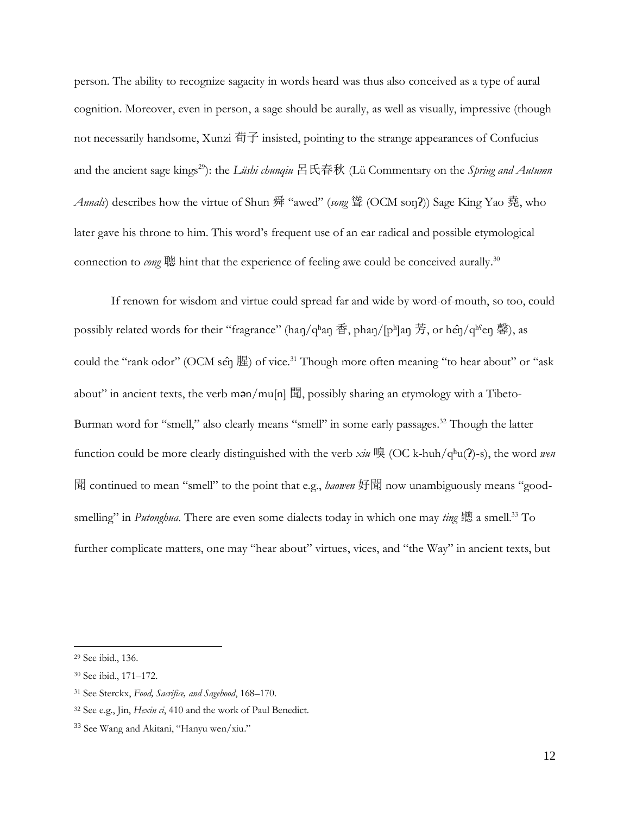person. The ability to recognize sagacity in words heard was thus also conceived as a type of aural cognition. Moreover, even in person, a sage should be aurally, as well as visually, impressive (though not necessarily handsome, Xunzi 荀子 insisted, pointing to the strange appearances of Confucius and the ancient sage kings<sup>29</sup>): the *Lüshi chunqiu* 呂氏春秋 (Lü Commentary on the *Spring and Autumn Annals*) describes how the virtue of Shun 舜 "awed" (*song* 聳 (OCM soŋʔ)) Sage King Yao 堯, who later gave his throne to him. This word's frequent use of an ear radical and possible etymological connection to *cong* 聰 hint that the experience of feeling awe could be conceived aurally. 30

If renown for wisdom and virtue could spread far and wide by word-of-mouth, so too, could possibly related words for their "fragrance" (haŋ/qʰaŋ 香, phaŋ/[pʰ]aŋ 芳, or hêŋ/qʰˤeŋ 馨), as could the "rank odor" (OCM se $\hat{\eta}$ )  $\hat{E}$ ) of vice.<sup>31</sup> Though more often meaning "to hear about" or "ask about" in ancient texts, the verb mən/mu[n] 聞, possibly sharing an etymology with a Tibeto-Burman word for "smell," also clearly means "smell" in some early passages.<sup>32</sup> Though the latter function could be more clearly distinguished with the verb *xiu* 嗅 (OC k-huh/qʰu(ʔ)-s), the word *wen* 聞 continued to mean "smell" to the point that e.g., *haowen* 好聞 now unambiguously means "goodsmelling" in *Putonghua*. There are even some dialects today in which one may *ting* 聽 a smell.<sup>33</sup> To further complicate matters, one may "hear about" virtues, vices, and "the Way" in ancient texts, but

<sup>29</sup> See ibid., 136.

<sup>30</sup> See ibid., 171–172.

<sup>31</sup> See Sterckx, *Food, Sacrifice, and Sagehood*, 168–170.

<sup>32</sup> See e.g., Jin, *Hexin ci*, 410 and the work of Paul Benedict.

<sup>33</sup> See Wang and Akitani, "Hanyu wen/xiu."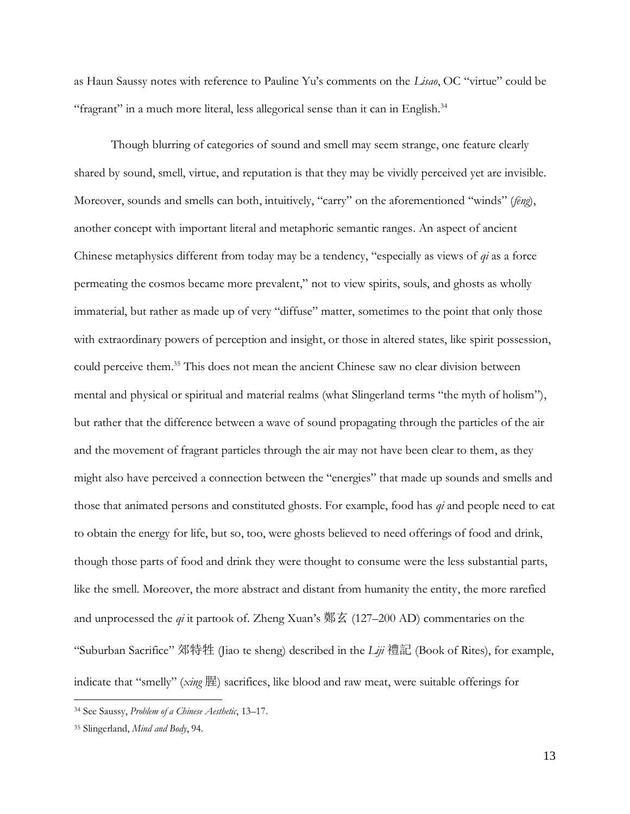as Haun Saussy notes with reference to Pauline Yu's comments on the *Lisao*, OC "virtue" could be "fragrant" in a much more literal, less allegorical sense than it can in English.<sup>34</sup>

Though blurring of categories of sound and smell may seem strange, one feature clearly shared by sound, smell, virtue, and reputation is that they may be vividly perceived yet are invisible. Moreover, sounds and smells can both, intuitively, "carry" on the aforementioned "winds" (*fēng*), another concept with important literal and metaphoric semantic ranges. An aspect of ancient Chinese metaphysics different from today may be a tendency, "especially as views of *qi* as a force permeating the cosmos became more prevalent," not to view spirits, souls, and ghosts as wholly immaterial, but rather as made up of very "diffuse" matter, sometimes to the point that only those with extraordinary powers of perception and insight, or those in altered states, like spirit possession, could perceive them. <sup>35</sup> This does not mean the ancient Chinese saw no clear division between mental and physical or spiritual and material realms (what Slingerland terms "the myth of holism"), but rather that the difference between a wave of sound propagating through the particles of the air and the movement of fragrant particles through the air may not have been clear to them, as they might also have perceived a connection between the "energies" that made up sounds and smells and those that animated persons and constituted ghosts. For example, food has *qi* and people need to eat to obtain the energy for life, but so, too, were ghosts believed to need offerings of food and drink, though those parts of food and drink they were thought to consume were the less substantial parts, like the smell. Moreover, the more abstract and distant from humanity the entity, the more rarefied and unprocessed the *qi* it partook of. Zheng Xuan's 鄭玄 (127–200 AD) commentaries on the "Suburban Sacrifice" 郊特牲 (Jiao te sheng) described in the *Liji* 禮記 (Book of Rites), for example, indicate that "smelly" (*xing* 腥) sacrifices, like blood and raw meat, were suitable offerings for

<sup>34</sup> See Saussy, *Problem of a Chinese Aesthetic*, 13–17.

<sup>35</sup> Slingerland, *Mind and Body*, 94.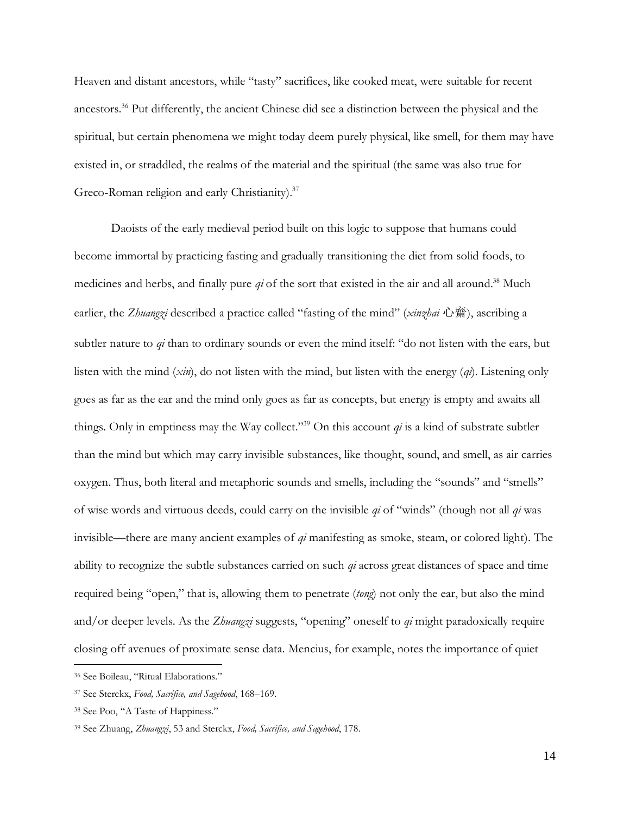Heaven and distant ancestors, while "tasty" sacrifices, like cooked meat, were suitable for recent ancestors.<sup>36</sup> Put differently, the ancient Chinese did see a distinction between the physical and the spiritual, but certain phenomena we might today deem purely physical, like smell, for them may have existed in, or straddled, the realms of the material and the spiritual (the same was also true for Greco-Roman religion and early Christianity).<sup>37</sup>

Daoists of the early medieval period built on this logic to suppose that humans could become immortal by practicing fasting and gradually transitioning the diet from solid foods, to medicines and herbs, and finally pure *qi* of the sort that existed in the air and all around. <sup>38</sup> Much earlier, the *Zhuangzi* described a practice called "fasting of the mind" (*xinzhai* 心齋), ascribing a subtler nature to *qi* than to ordinary sounds or even the mind itself: "do not listen with the ears, but listen with the mind (*xin*), do not listen with the mind, but listen with the energy (*qi*). Listening only goes as far as the ear and the mind only goes as far as concepts, but energy is empty and awaits all things. Only in emptiness may the Way collect."<sup>39</sup> On this account *qi* is a kind of substrate subtler than the mind but which may carry invisible substances, like thought, sound, and smell, as air carries oxygen. Thus, both literal and metaphoric sounds and smells, including the "sounds" and "smells" of wise words and virtuous deeds, could carry on the invisible *qi* of "winds" (though not all *qi* was invisible—there are many ancient examples of *qi* manifesting as smoke, steam, or colored light). The ability to recognize the subtle substances carried on such *qi* across great distances of space and time required being "open," that is, allowing them to penetrate (*tong*) not only the ear, but also the mind and/or deeper levels. As the *Zhuangzi* suggests, "opening" oneself to *qi* might paradoxically require closing off avenues of proximate sense data. Mencius, for example, notes the importance of quiet

<sup>36</sup> See Boileau, "Ritual Elaborations."

<sup>37</sup> See Sterckx, *Food, Sacrifice, and Sagehood*, 168–169.

<sup>38</sup> See Poo, "A Taste of Happiness."

<sup>39</sup> See Zhuang, *Zhuangzi*, 53 and Sterckx, *Food, Sacrifice, and Sagehood*, 178.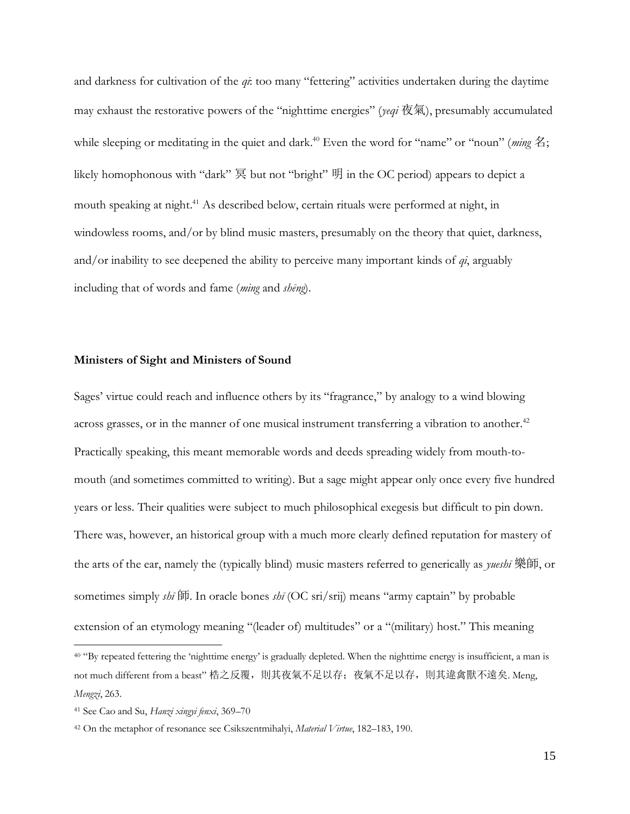and darkness for cultivation of the *qi*: too many "fettering" activities undertaken during the daytime may exhaust the restorative powers of the "nighttime energies" (*yeqi* 夜氣), presumably accumulated while sleeping or meditating in the quiet and dark. <sup>40</sup> Even the word for "name" or "noun" (*ming* 名; likely homophonous with "dark" 冥 but not "bright" 明 in the OC period) appears to depict a mouth speaking at night. <sup>41</sup> As described below, certain rituals were performed at night, in windowless rooms, and/or by blind music masters, presumably on the theory that quiet, darkness, and/or inability to see deepened the ability to perceive many important kinds of *qi*, arguably including that of words and fame (*ming* and *shēng*).

### **Ministers of Sight and Ministers of Sound**

Sages' virtue could reach and influence others by its "fragrance," by analogy to a wind blowing across grasses, or in the manner of one musical instrument transferring a vibration to another.<sup>42</sup> Practically speaking, this meant memorable words and deeds spreading widely from mouth-tomouth (and sometimes committed to writing). But a sage might appear only once every five hundred years or less. Their qualities were subject to much philosophical exegesis but difficult to pin down. There was, however, an historical group with a much more clearly defined reputation for mastery of the arts of the ear, namely the (typically blind) music masters referred to generically as *yueshī* 樂師, or sometimes simply *shī* 師. In oracle bones *shī* (OC sri/srij) means "army captain" by probable extension of an etymology meaning "(leader of) multitudes" or a "(military) host." This meaning

<sup>&</sup>lt;sup>40</sup> "By repeated fettering the 'nighttime energy' is gradually depleted. When the nighttime energy is insufficient, a man is not much different from a beast" 梏之反覆, 則其夜氣不足以存; 夜氣不足以存, 則其違禽獸不遠矣. Meng, *Mengzi*, 263.

<sup>41</sup> See Cao and Su, *Hanzi xingyi fenxi*, 369–70

<sup>42</sup> On the metaphor of resonance see Csikszentmihalyi, *Material Virtue*, 182–183, 190.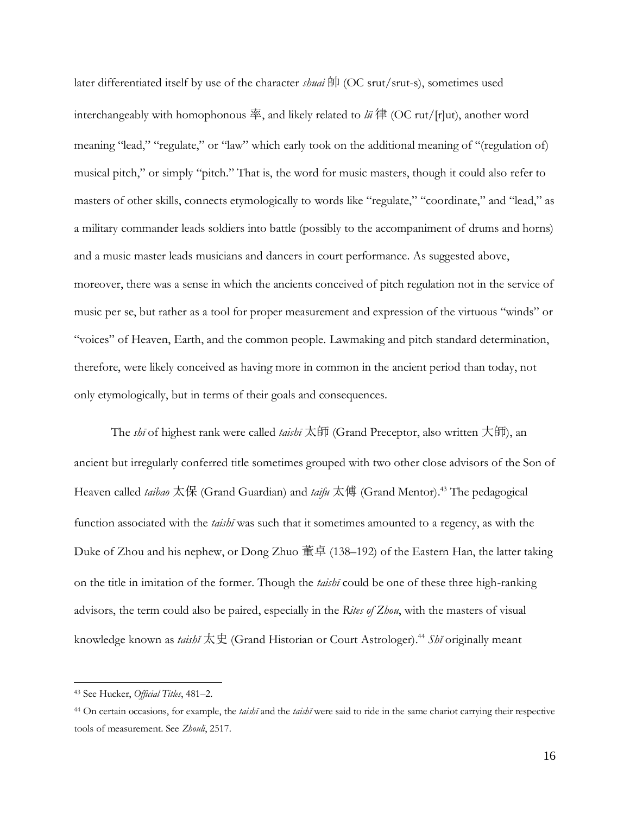later differentiated itself by use of the character *shuai* 帥 (OC srut/srut-s), sometimes used interchangeably with homophonous 率, and likely related to *lü* 律 (OC rut/[r]ut), another word meaning "lead," "regulate," or "law" which early took on the additional meaning of "(regulation of) musical pitch," or simply "pitch." That is, the word for music masters, though it could also refer to masters of other skills, connects etymologically to words like "regulate," "coordinate," and "lead," as a military commander leads soldiers into battle (possibly to the accompaniment of drums and horns) and a music master leads musicians and dancers in court performance. As suggested above, moreover, there was a sense in which the ancients conceived of pitch regulation not in the service of music per se, but rather as a tool for proper measurement and expression of the virtuous "winds" or "voices" of Heaven, Earth, and the common people. Lawmaking and pitch standard determination, therefore, were likely conceived as having more in common in the ancient period than today, not only etymologically, but in terms of their goals and consequences.

The *shī* of highest rank were called *taishī* 太師 (Grand Preceptor, also written 大師), an ancient but irregularly conferred title sometimes grouped with two other close advisors of the Son of Heaven called *taibao* 太保 (Grand Guardian) and *taifu* 太傅 (Grand Mentor). <sup>43</sup> The pedagogical function associated with the *taishī* was such that it sometimes amounted to a regency, as with the Duke of Zhou and his nephew, or Dong Zhuo 董卓 (138–192) of the Eastern Han, the latter taking on the title in imitation of the former. Though the *taishī* could be one of these three high-ranking advisors, the term could also be paired, especially in the *Rites of Zhou*, with the masters of visual knowledge known as *taishĭ* 太史 (Grand Historian or Court Astrologer). <sup>44</sup> *Shĭ* originally meant

<sup>43</sup> See Hucker, *Official Titles*, 481–2.

<sup>44</sup> On certain occasions, for example, the *taishī* and the *taishĭ* were said to ride in the same chariot carrying their respective tools of measurement. See *Zhouli*, 2517.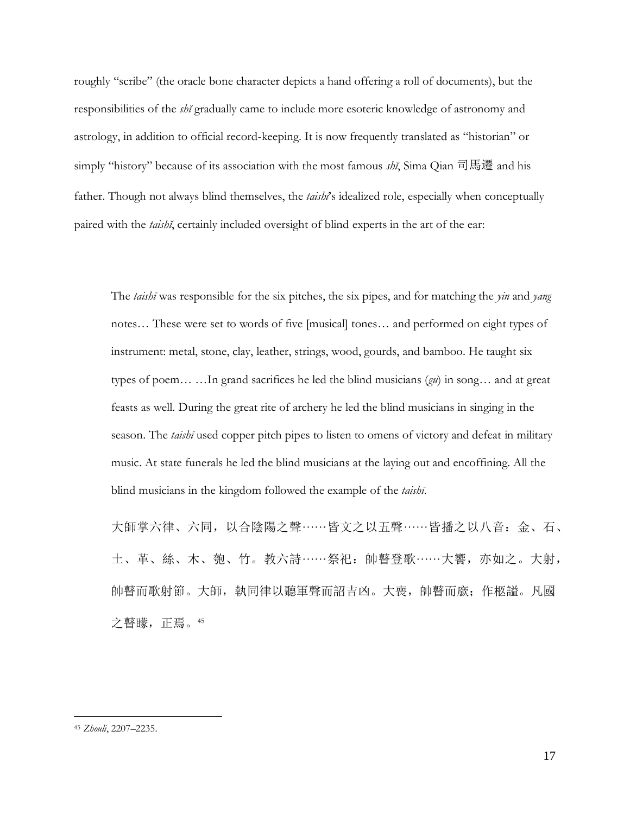roughly "scribe" (the oracle bone character depicts a hand offering a roll of documents), but the responsibilities of the *shĭ* gradually came to include more esoteric knowledge of astronomy and astrology, in addition to official record-keeping. It is now frequently translated as "historian" or simply "history" because of its association with the most famous *shĭ*, Sima Qian 司馬遷 and his father. Though not always blind themselves, the *taishī*'s idealized role, especially when conceptually paired with the *taishĭ*, certainly included oversight of blind experts in the art of the ear:

The *taishī* was responsible for the six pitches, the six pipes, and for matching the *yin* and *yang* notes… These were set to words of five [musical] tones… and performed on eight types of instrument: metal, stone, clay, leather, strings, wood, gourds, and bamboo. He taught six types of poem… …In grand sacrifices he led the blind musicians (*gu*) in song… and at great feasts as well. During the great rite of archery he led the blind musicians in singing in the season. The *taishī* used copper pitch pipes to listen to omens of victory and defeat in military music. At state funerals he led the blind musicians at the laying out and encoffining. All the blind musicians in the kingdom followed the example of the *taishī*.

大師掌六律、六同,以合陰陽之聲……皆文之以五聲……皆播之以八音:金、石、 土、革、絲、木、匏、竹。教六詩 …… 祭祀: 帥瞽登歌 …… 大饗, 亦如之。大射, 帥瞽而歌射節。大師,執同律以聽軍聲而詔吉凶。大喪,帥瞽而廞; 作柩謚。凡國 之瞽矇,正焉。<sup>45</sup>

<sup>45</sup> *Zhouli*, 2207–2235.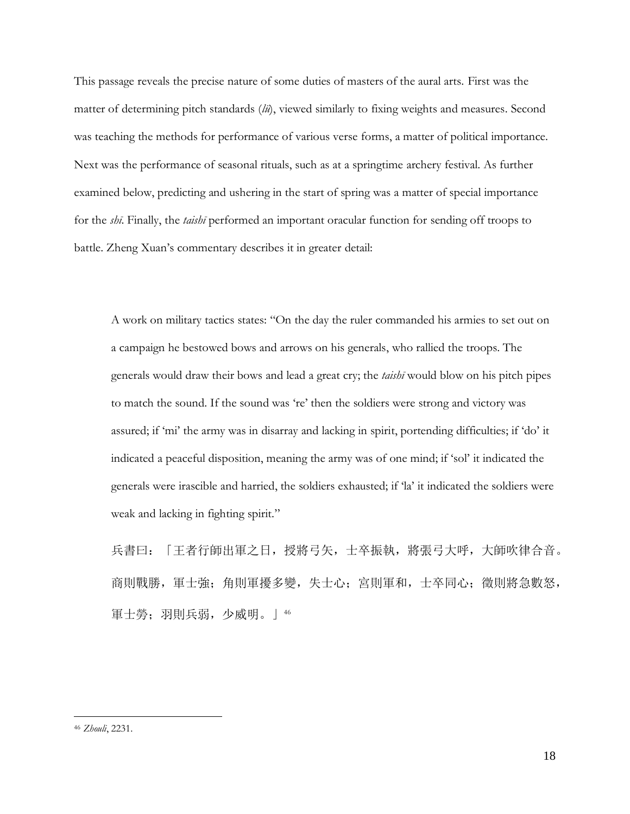This passage reveals the precise nature of some duties of masters of the aural arts. First was the matter of determining pitch standards (*lü*), viewed similarly to fixing weights and measures. Second was teaching the methods for performance of various verse forms, a matter of political importance. Next was the performance of seasonal rituals, such as at a springtime archery festival. As further examined below, predicting and ushering in the start of spring was a matter of special importance for the *shī*. Finally, the *taishī* performed an important oracular function for sending off troops to battle. Zheng Xuan's commentary describes it in greater detail:

A work on military tactics states: "On the day the ruler commanded his armies to set out on a campaign he bestowed bows and arrows on his generals, who rallied the troops. The generals would draw their bows and lead a great cry; the *taishī* would blow on his pitch pipes to match the sound. If the sound was 're' then the soldiers were strong and victory was assured; if 'mi' the army was in disarray and lacking in spirit, portending difficulties; if 'do' it indicated a peaceful disposition, meaning the army was of one mind; if 'sol' it indicated the generals were irascible and harried, the soldiers exhausted; if 'la' it indicated the soldiers were weak and lacking in fighting spirit."

兵書曰:「王者行師出軍之日,授將弓矢,士卒振執,將張弓大呼,大師吹律合音。 商則戰勝,軍士強;角則軍擾多變,失士心;宮則軍和,士卒同心;徵則將急數怒, 軍士勞;羽則兵弱,少威明。」<sup>46</sup>

<sup>46</sup> *Zhouli*, 2231.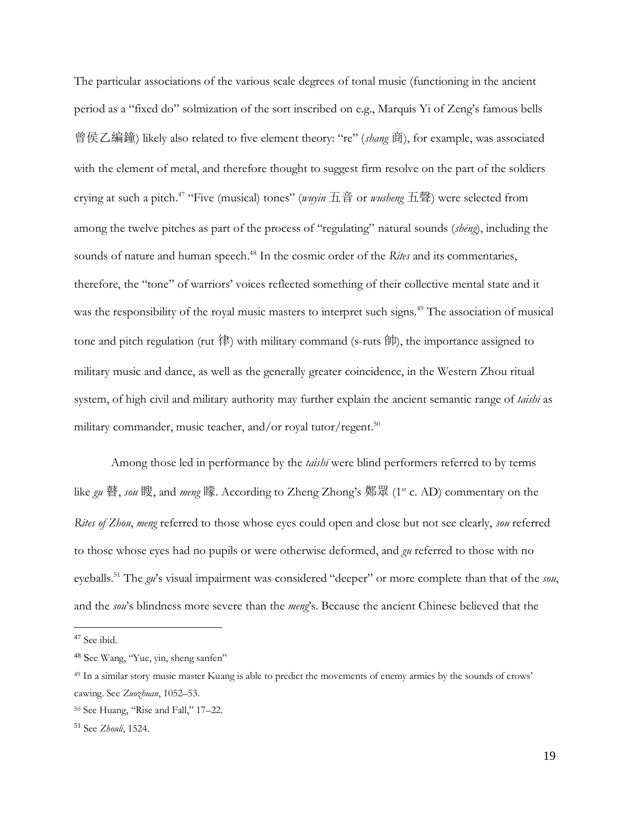The particular associations of the various scale degrees of tonal music (functioning in the ancient period as a "fixed do" solmization of the sort inscribed on e.g., Marquis Yi of Zeng's famous bells 曾侯乙編鐘) likely also related to five element theory: "re" (*shang* 商), for example, was associated with the element of metal, and therefore thought to suggest firm resolve on the part of the soldiers crying at such a pitch.<sup>47</sup> "Five (musical) tones" (*wuyin* 五音 or *wusheng* 五聲) were selected from among the twelve pitches as part of the process of "regulating" natural sounds (*shēng*), including the sounds of nature and human speech. <sup>48</sup> In the cosmic order of the *Rites* and its commentaries, therefore, the "tone" of warriors' voices reflected something of their collective mental state and it was the responsibility of the royal music masters to interpret such signs.<sup>49</sup> The association of musical tone and pitch regulation (rut 律) with military command (s-ruts 帥), the importance assigned to military music and dance, as well as the generally greater coincidence, in the Western Zhou ritual system, of high civil and military authority may further explain the ancient semantic range of *taishī* as military commander, music teacher, and/or royal tutor/regent.<sup>50</sup>

Among those led in performance by the *taishī* were blind performers referred to by terms like *gu* 瞽, *sou* 瞍, and *meng* 矇. According to Zheng Zhong's 鄭眾 (1st c. AD) commentary on the *Rites of Zhou*, *meng* referred to those whose eyes could open and close but not see clearly, *sou* referred to those whose eyes had no pupils or were otherwise deformed, and *gu* referred to those with no eyeballs. <sup>51</sup> The *gu*'s visual impairment was considered "deeper" or more complete than that of the *sou*, and the *sou*'s blindness more severe than the *meng*'s. Because the ancient Chinese believed that the

<sup>47</sup> See ibid.

<sup>48</sup> See Wang, "Yue, yin, sheng sanfen"

<sup>49</sup> In a similar story music master Kuang is able to predict the movements of enemy armies by the sounds of crows' cawing. See *Zuozhuan*, 1052–53.

<sup>50</sup> See Huang, "Rise and Fall," 17–22.

<sup>51</sup> See *Zhouli*, 1524.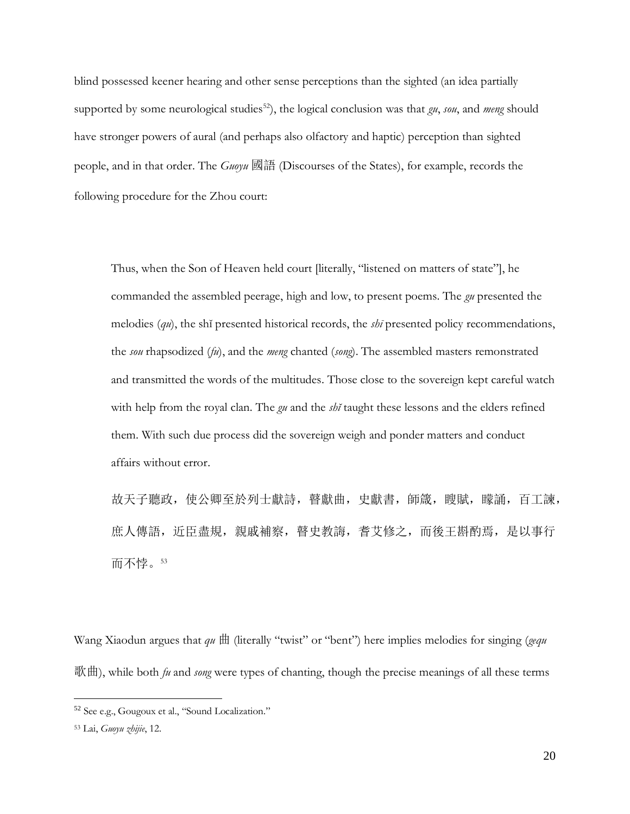blind possessed keener hearing and other sense perceptions than the sighted (an idea partially supported by some neurological studies<sup>52</sup>), the logical conclusion was that  $\alpha$ , *sou*, and *meng* should have stronger powers of aural (and perhaps also olfactory and haptic) perception than sighted people, and in that order. The *Guoyu* 國語 (Discourses of the States), for example, records the following procedure for the Zhou court:

Thus, when the Son of Heaven held court [literally, "listened on matters of state"], he commanded the assembled peerage, high and low, to present poems. The *gu* presented the melodies (*qu*), the shĭ presented historical records, the *shī* presented policy recommendations, the *sou* rhapsodized (*fu*), and the *meng* chanted (*song*). The assembled masters remonstrated and transmitted the words of the multitudes. Those close to the sovereign kept careful watch with help from the royal clan. The *gu* and the *shĭ* taught these lessons and the elders refined them. With such due process did the sovereign weigh and ponder matters and conduct affairs without error.

故天子聽政, 使公卿至於列士獻詩, 瞽獻曲, 史獻書, 師箴, 瞍賦, 矇誦, 百工諫, 庶人傳語,近臣盡規,親戚補察,瞽史教誨,耆艾修之,而後王斟酌焉,是以事行 而不悖。<sup>53</sup>

Wang Xiaodun argues that *qu* 曲 (literally "twist" or "bent") here implies melodies for singing (*gequ* 歌曲), while both *fu* and *song* were types of chanting, though the precise meanings of all these terms

<sup>52</sup> See e.g., Gougoux et al., "Sound Localization."

<sup>53</sup> Lai, *Guoyu zhijie*, 12.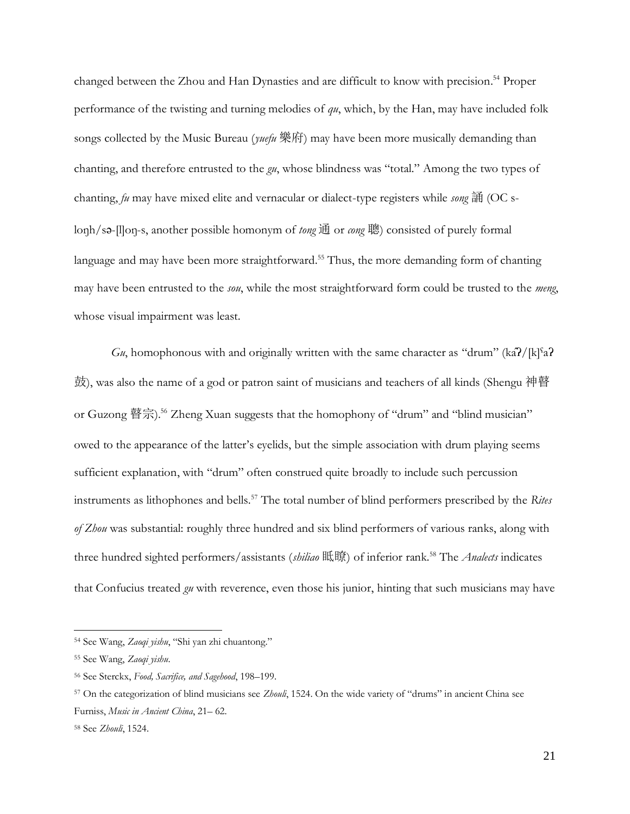changed between the Zhou and Han Dynasties and are difficult to know with precision. <sup>54</sup> Proper performance of the twisting and turning melodies of *qu*, which, by the Han, may have included folk songs collected by the Music Bureau (*yuefu* 樂府) may have been more musically demanding than chanting, and therefore entrusted to the *gu*, whose blindness was "total." Among the two types of chanting, *fu* may have mixed elite and vernacular or dialect-type registers while *song* 誦 (OC sloŋh/sə-[l]oŋ-s, another possible homonym of *tong* 通 or *cong* 聰) consisted of purely formal language and may have been more straightforward.<sup>55</sup> Thus, the more demanding form of chanting may have been entrusted to the *sou*, while the most straightforward form could be trusted to the *meng*, whose visual impairment was least.

*Gu*, homophonous with and originally written with the same character as "drum" (kâʔ/[k]ˤaʔ 鼓), was also the name of a god or patron saint of musicians and teachers of all kinds (Shengu 神瞽 or Guzong 瞽宗).<sup>56</sup> Zheng Xuan suggests that the homophony of "drum" and "blind musician" owed to the appearance of the latter's eyelids, but the simple association with drum playing seems sufficient explanation, with "drum" often construed quite broadly to include such percussion instruments as lithophones and bells.<sup>57</sup> The total number of blind performers prescribed by the *Rites of Zhou* was substantial: roughly three hundred and six blind performers of various ranks, along with three hundred sighted performers/assistants (*shiliao* 眡瞭) of inferior rank.<sup>58</sup> The *Analects* indicates that Confucius treated *gu* with reverence, even those his junior, hinting that such musicians may have

<sup>54</sup> See Wang, *Zaoqi yishu*, "Shi yan zhi chuantong."

<sup>55</sup> See Wang, *Zaoqi yishu*.

<sup>56</sup> See Sterckx, *Food, Sacrifice, and Sagehood*, 198–199.

<sup>57</sup> On the categorization of blind musicians see *Zhouli*, 1524. On the wide variety of "drums" in ancient China see Furniss, *Music in Ancient China*, 21– 62.

<sup>58</sup> See *Zhouli*, 1524.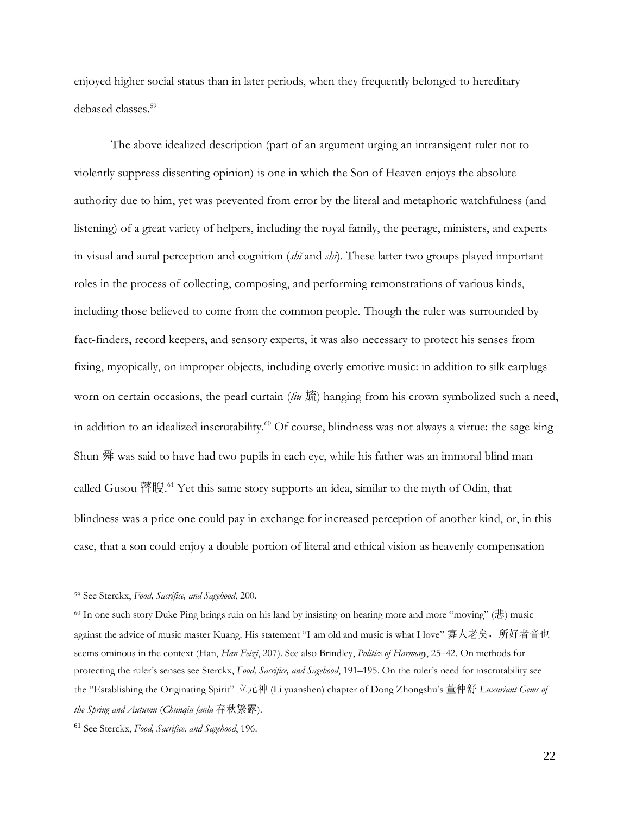enjoyed higher social status than in later periods, when they frequently belonged to hereditary debased classes. 59

The above idealized description (part of an argument urging an intransigent ruler not to violently suppress dissenting opinion) is one in which the Son of Heaven enjoys the absolute authority due to him, yet was prevented from error by the literal and metaphoric watchfulness (and listening) of a great variety of helpers, including the royal family, the peerage, ministers, and experts in visual and aural perception and cognition (*shĭ* and *shī*). These latter two groups played important roles in the process of collecting, composing, and performing remonstrations of various kinds, including those believed to come from the common people. Though the ruler was surrounded by fact-finders, record keepers, and sensory experts, it was also necessary to protect his senses from fixing, myopically, on improper objects, including overly emotive music: in addition to silk earplugs worn on certain occasions, the pearl curtain (*liu* 旈) hanging from his crown symbolized such a need, in addition to an idealized inscrutability. <sup>60</sup> Of course, blindness was not always a virtue: the sage king Shun 舜 was said to have had two pupils in each eye, while his father was an immoral blind man called Gusou 瞽瞍. <sup>61</sup> Yet this same story supports an idea, similar to the myth of Odin, that blindness was a price one could pay in exchange for increased perception of another kind, or, in this case, that a son could enjoy a double portion of literal and ethical vision as heavenly compensation

<sup>59</sup> See Sterckx, *Food, Sacrifice, and Sagehood*, 200.

<sup>60</sup> In one such story Duke Ping brings ruin on his land by insisting on hearing more and more "moving" (悲) music against the advice of music master Kuang. His statement "I am old and music is what I love" 寡人老矣,所好者音也 seems ominous in the context (Han, *Han Feizi*, 207). See also Brindley, *Politics of Harmony*, 25–42. On methods for protecting the ruler's senses see Sterckx, *Food, Sacrifice, and Sagehood*, 191–195. On the ruler's need for inscrutability see the "Establishing the Originating Spirit" 立元神 (Li yuanshen) chapter of Dong Zhongshu's 董仲舒 *Luxuriant Gems of the Spring and Autumn* (*Chunqiu fanlu* 春秋繁露).

<sup>61</sup> See Sterckx, *Food, Sacrifice, and Sagehood*, 196.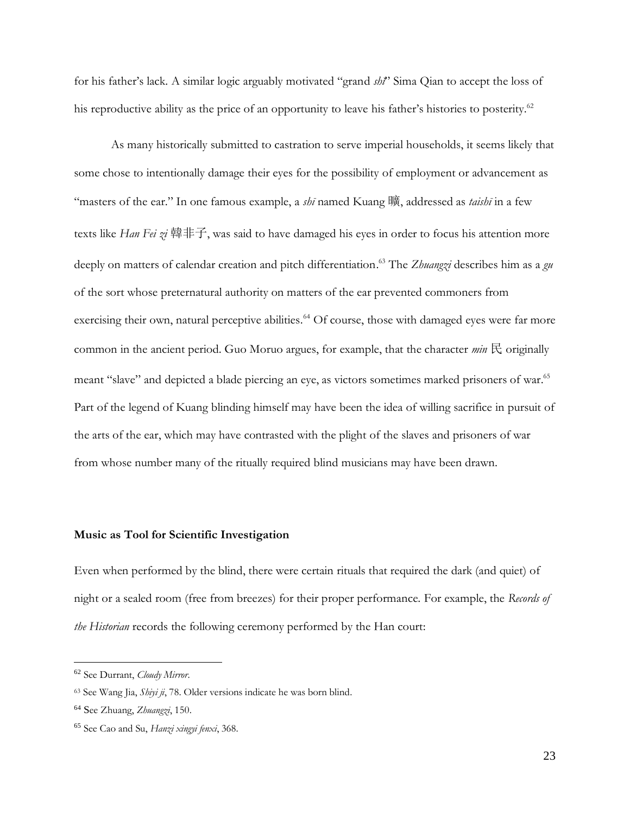for his father's lack. A similar logic arguably motivated "grand *shĭ*" Sima Qian to accept the loss of his reproductive ability as the price of an opportunity to leave his father's histories to posterity.<sup>62</sup>

As many historically submitted to castration to serve imperial households, it seems likely that some chose to intentionally damage their eyes for the possibility of employment or advancement as "masters of the ear." In one famous example, a *shī* named Kuang 曠, addressed as *taishī* in a few texts like *Han Fei zi* 韓非子, was said to have damaged his eyes in order to focus his attention more deeply on matters of calendar creation and pitch differentiation. <sup>63</sup> The *Zhuangzi* describes him as a *gu* of the sort whose preternatural authority on matters of the ear prevented commoners from exercising their own, natural perceptive abilities.<sup>64</sup> Of course, those with damaged eyes were far more common in the ancient period. Guo Moruo argues, for example, that the character  $min \to$  originally meant "slave" and depicted a blade piercing an eye, as victors sometimes marked prisoners of war. 65 Part of the legend of Kuang blinding himself may have been the idea of willing sacrifice in pursuit of the arts of the ear, which may have contrasted with the plight of the slaves and prisoners of war from whose number many of the ritually required blind musicians may have been drawn.

### **Music as Tool for Scientific Investigation**

Even when performed by the blind, there were certain rituals that required the dark (and quiet) of night or a sealed room (free from breezes) for their proper performance. For example, the *Records of the Historian* records the following ceremony performed by the Han court:

<sup>62</sup> See Durrant, *Cloudy Mirror*.

<sup>63</sup> See Wang Jia, *Shiyi ji*, 78. Older versions indicate he was born blind.

<sup>64</sup> See Zhuang, *Zhuangzi*, 150.

<sup>65</sup> See Cao and Su, *Hanzi xingyi fenxi*, 368.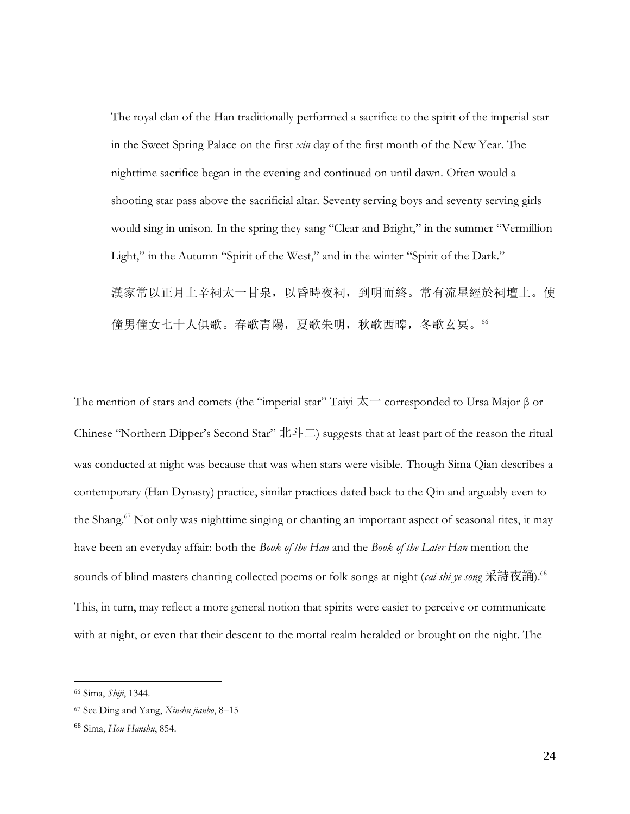The royal clan of the Han traditionally performed a sacrifice to the spirit of the imperial star in the Sweet Spring Palace on the first *xin* day of the first month of the New Year. The nighttime sacrifice began in the evening and continued on until dawn. Often would a shooting star pass above the sacrificial altar. Seventy serving boys and seventy serving girls would sing in unison. In the spring they sang "Clear and Bright," in the summer "Vermillion Light," in the Autumn "Spirit of the West," and in the winter "Spirit of the Dark." 漢家常以正月上辛祠太一甘泉,以昏時夜祠,到明而終。常有流星經於祠壇上。使 僮男僮女七十人俱歌。春歌青陽,夏歌朱明,秋歌西暤,冬歌玄冥。66

The mention of stars and comets (the "imperial star" Taiyi  $\overline{\mathcal{K}}$  corresponded to Ursa Major  $\beta$  or Chinese "Northern Dipper's Second Star" 北斗二) suggests that at least part of the reason the ritual was conducted at night was because that was when stars were visible. Though Sima Qian describes a contemporary (Han Dynasty) practice, similar practices dated back to the Qin and arguably even to the Shang.<sup>67</sup> Not only was nighttime singing or chanting an important aspect of seasonal rites, it may have been an everyday affair: both the *Book of the Han* and the *Book of the Later Han* mention the sounds of blind masters chanting collected poems or folk songs at night (*cai shi ye song* 采詩夜誦).<sup>68</sup> This, in turn, may reflect a more general notion that spirits were easier to perceive or communicate with at night, or even that their descent to the mortal realm heralded or brought on the night. The

<sup>66</sup> Sima, *Shiji*, 1344.

<sup>67</sup> See Ding and Yang, *Xinchu jianbo*, 8–15

<sup>68</sup> Sima, *Hou Hanshu*, 854.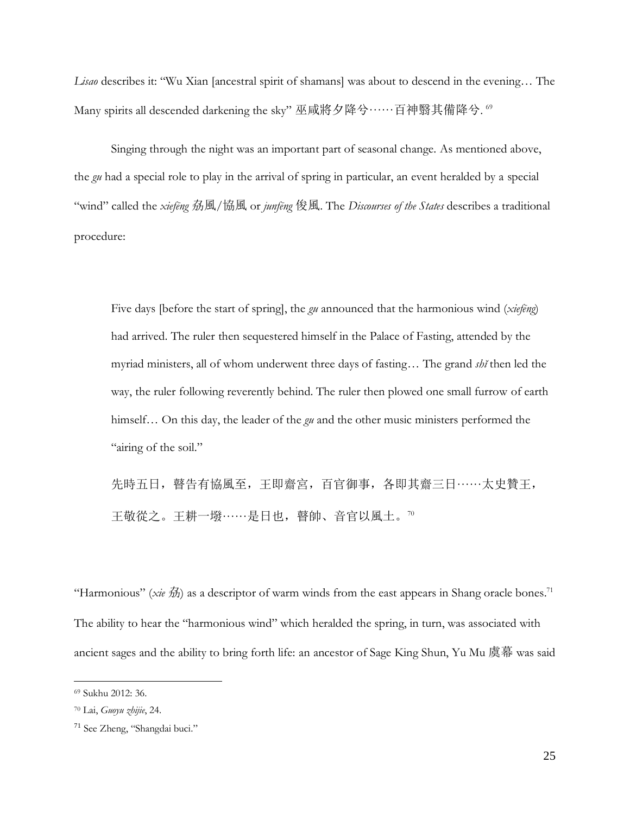*Lisao* describes it: "Wu Xian [ancestral spirit of shamans] was about to descend in the evening… The Many spirits all descended darkening the sky" 巫咸將夕降兮……百神翳其備降兮.  $^{\rm 69}$ 

Singing through the night was an important part of seasonal change. As mentioned above, the *gu* had a special role to play in the arrival of spring in particular, an event heralded by a special "wind" called the *xiefēng* 劦風/協風 or *junfēng* 俊風. The *Discourses of the States* describes a traditional procedure:

Five days [before the start of spring], the *gu* announced that the harmonious wind (*xiefēng*) had arrived. The ruler then sequestered himself in the Palace of Fasting, attended by the myriad ministers, all of whom underwent three days of fasting… The grand *shĭ* then led the way, the ruler following reverently behind. The ruler then plowed one small furrow of earth himself… On this day, the leader of the *gu* and the other music ministers performed the "airing of the soil."

先時五日, 瞽告有協風至, 王即齋宮, 百官御事, 各即其齋三日……太史贊王, 王敬從之。王耕一墢······是日也,瞽帥、音官以風土。<sup>70</sup>

"Harmonious" (*xie*  $\hat{\mathcal{H}}$ ) as a descriptor of warm winds from the east appears in Shang oracle bones.<sup>71</sup> The ability to hear the "harmonious wind" which heralded the spring, in turn, was associated with ancient sages and the ability to bring forth life: an ancestor of Sage King Shun, Yu Mu 虞幕 was said

<sup>69</sup> Sukhu 2012: 36.

<sup>70</sup> Lai, *Guoyu zhijie*, 24.

<sup>71</sup> See Zheng, "Shangdai buci."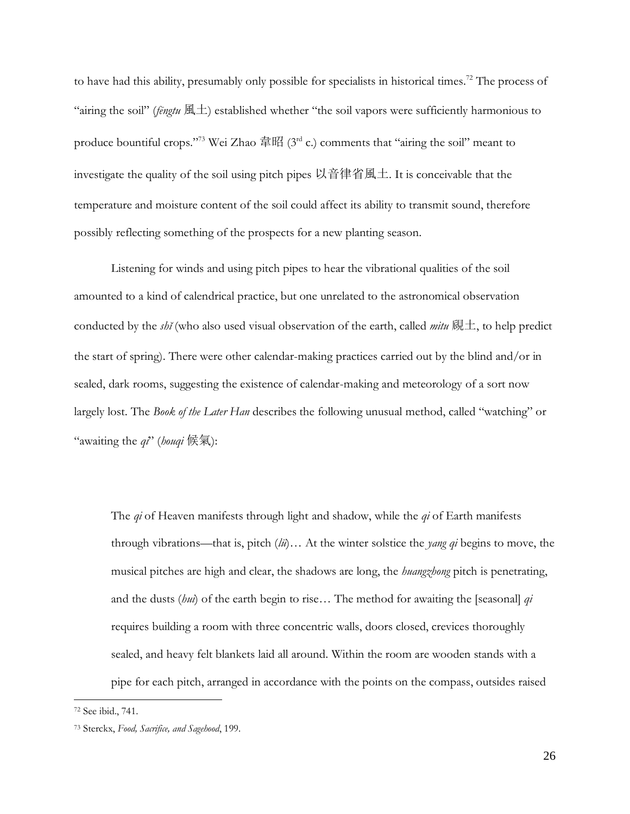to have had this ability, presumably only possible for specialists in historical times.<sup>72</sup> The process of "airing the soil" (*fēngtu* 風土) established whether "the soil vapors were sufficiently harmonious to produce bountiful crops."<sup>73</sup> Wei Zhao 韋昭 (3<sup>rd</sup> c.) comments that "airing the soil" meant to investigate the quality of the soil using pitch pipes 以音律省風土. It is conceivable that the temperature and moisture content of the soil could affect its ability to transmit sound, therefore possibly reflecting something of the prospects for a new planting season.

Listening for winds and using pitch pipes to hear the vibrational qualities of the soil amounted to a kind of calendrical practice, but one unrelated to the astronomical observation conducted by the *shǐ* (who also used visual observation of the earth, called *mitu* 覛土, to help predict the start of spring). There were other calendar-making practices carried out by the blind and/or in sealed, dark rooms, suggesting the existence of calendar-making and meteorology of a sort now largely lost. The *Book of the Later Han* describes the following unusual method, called "watching" or "awaiting the *qi*" (*houqi* 候氣):

The *qi* of Heaven manifests through light and shadow, while the *qi* of Earth manifests through vibrations—that is, pitch (*lü*)… At the winter solstice the *yang qi* begins to move, the musical pitches are high and clear, the shadows are long, the *huangzhong* pitch is penetrating, and the dusts (*hui*) of the earth begin to rise… The method for awaiting the [seasonal] *qi* requires building a room with three concentric walls, doors closed, crevices thoroughly sealed, and heavy felt blankets laid all around. Within the room are wooden stands with a pipe for each pitch, arranged in accordance with the points on the compass, outsides raised

<sup>72</sup> See ibid., 741.

<sup>73</sup> Sterckx, *Food, Sacrifice, and Sagehood*, 199.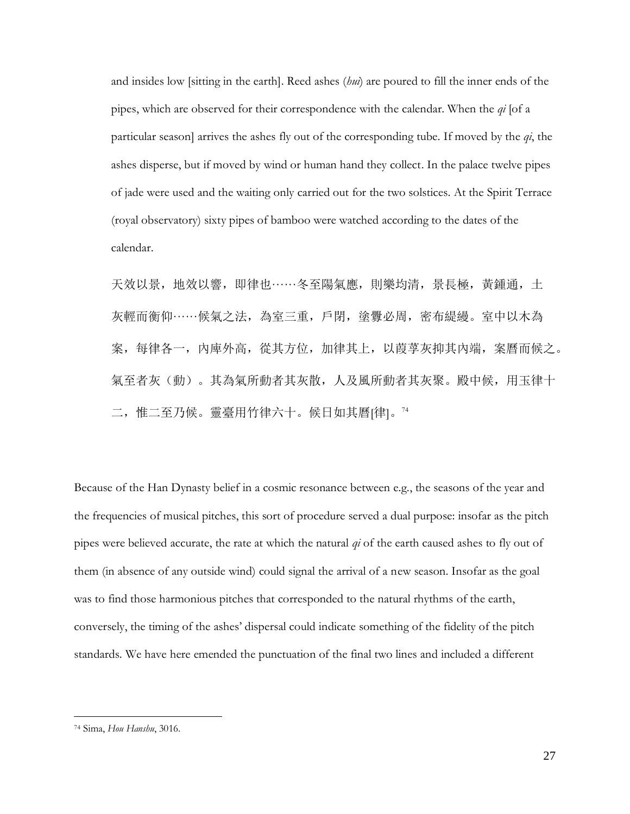and insides low [sitting in the earth]. Reed ashes (*hui*) are poured to fill the inner ends of the pipes, which are observed for their correspondence with the calendar. When the *qi* [of a particular season] arrives the ashes fly out of the corresponding tube. If moved by the *qi*, the ashes disperse, but if moved by wind or human hand they collect. In the palace twelve pipes of jade were used and the waiting only carried out for the two solstices. At the Spirit Terrace (royal observatory) sixty pipes of bamboo were watched according to the dates of the calendar.

天效以景,地效以響,即律也······冬至陽氣應,則樂均清,景長極,黃鍾通,土 灰輕而衡仰······候氣之法,為室三重,戶閉,塗釁必周,密布緹縵。室中以木為 案,每律各一,內庳外高,從其方位,加律其上,以葭莩灰抑其內端,案曆而候之。 氣至者灰(動)。其為氣所動者其灰散,人及風所動者其灰聚。殿中候,用玉律十 二,惟二至乃候。靈臺用竹律六十。候日如其曆[律]。<sup>74</sup>

Because of the Han Dynasty belief in a cosmic resonance between e.g., the seasons of the year and the frequencies of musical pitches, this sort of procedure served a dual purpose: insofar as the pitch pipes were believed accurate, the rate at which the natural *qi* of the earth caused ashes to fly out of them (in absence of any outside wind) could signal the arrival of a new season. Insofar as the goal was to find those harmonious pitches that corresponded to the natural rhythms of the earth, conversely, the timing of the ashes' dispersal could indicate something of the fidelity of the pitch standards. We have here emended the punctuation of the final two lines and included a different

<sup>74</sup> Sima, *Hou Hanshu*, 3016.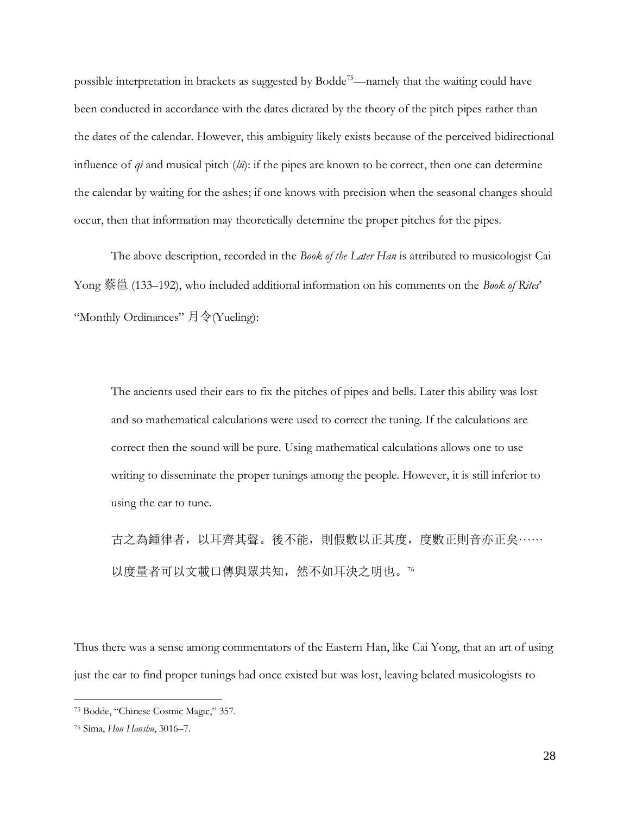possible interpretation in brackets as suggested by Bodde<sup>75</sup>—namely that the waiting could have been conducted in accordance with the dates dictated by the theory of the pitch pipes rather than the dates of the calendar. However, this ambiguity likely exists because of the perceived bidirectional influence of *qi* and musical pitch (*lü*): if the pipes are known to be correct, then one can determine the calendar by waiting for the ashes; if one knows with precision when the seasonal changes should occur, then that information may theoretically determine the proper pitches for the pipes.

The above description, recorded in the *Book of the Later Han* is attributed to musicologist Cai Yong 蔡邕 (133–192), who included additional information on his comments on the *Book of Rites*' "Monthly Ordinances" 月令(Yueling):

The ancients used their ears to fix the pitches of pipes and bells. Later this ability was lost and so mathematical calculations were used to correct the tuning. If the calculations are correct then the sound will be pure. Using mathematical calculations allows one to use writing to disseminate the proper tunings among the people. However, it is still inferior to using the ear to tune.

古之為鍾律者,以耳齊其聲。後不能,則假數以正其度,度數正則音亦正矣…… 以度量者可以文載口傳與眾共知,然不如耳決之明也。76

Thus there was a sense among commentators of the Eastern Han, like Cai Yong, that an art of using just the ear to find proper tunings had once existed but was lost, leaving belated musicologists to

<sup>75</sup> Bodde, "Chinese Cosmic Magic," 357.

<sup>76</sup> Sima, *Hou Hanshu*, 3016–7.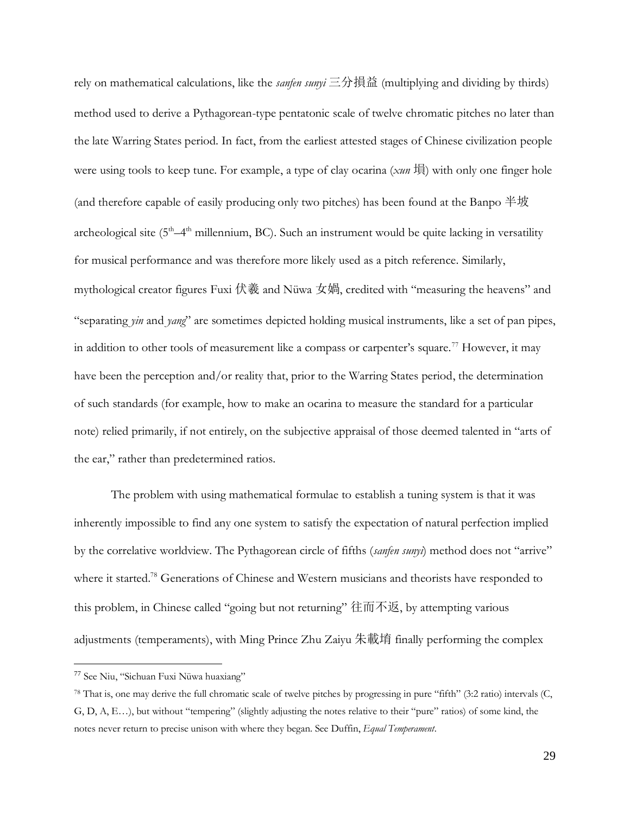rely on mathematical calculations, like the *sanfen sunyi* 三分損益 (multiplying and dividing by thirds) method used to derive a Pythagorean-type pentatonic scale of twelve chromatic pitches no later than the late Warring States period. In fact, from the earliest attested stages of Chinese civilization people were using tools to keep tune. For example, a type of clay ocarina (*xun* 塤) with only one finger hole (and therefore capable of easily producing only two pitches) has been found at the Banpo 半坡 archeological site ( $5<sup>th</sup>-4<sup>th</sup>$  millennium, BC). Such an instrument would be quite lacking in versatility for musical performance and was therefore more likely used as a pitch reference. Similarly, mythological creator figures Fuxi 伏羲 and Nüwa 女媧, credited with "measuring the heavens" and "separating *yin* and *yang*" are sometimes depicted holding musical instruments, like a set of pan pipes, in addition to other tools of measurement like a compass or carpenter's square.<sup>77</sup> However, it may have been the perception and/or reality that, prior to the Warring States period, the determination of such standards (for example, how to make an ocarina to measure the standard for a particular note) relied primarily, if not entirely, on the subjective appraisal of those deemed talented in "arts of the ear," rather than predetermined ratios.

The problem with using mathematical formulae to establish a tuning system is that it was inherently impossible to find any one system to satisfy the expectation of natural perfection implied by the correlative worldview. The Pythagorean circle of fifths (*sanfen sunyi*) method does not "arrive" where it started.<sup>78</sup> Generations of Chinese and Western musicians and theorists have responded to this problem, in Chinese called "going but not returning" 往而不返, by attempting various adjustments (temperaments), with Ming Prince Zhu Zaiyu 朱載堉 finally performing the complex

<sup>77</sup> See Niu, "Sichuan Fuxi Nüwa huaxiang"

<sup>78</sup> That is, one may derive the full chromatic scale of twelve pitches by progressing in pure "fifth" (3:2 ratio) intervals (C, G, D, A, E…), but without "tempering" (slightly adjusting the notes relative to their "pure" ratios) of some kind, the notes never return to precise unison with where they began. See Duffin, *Equal Temperament*.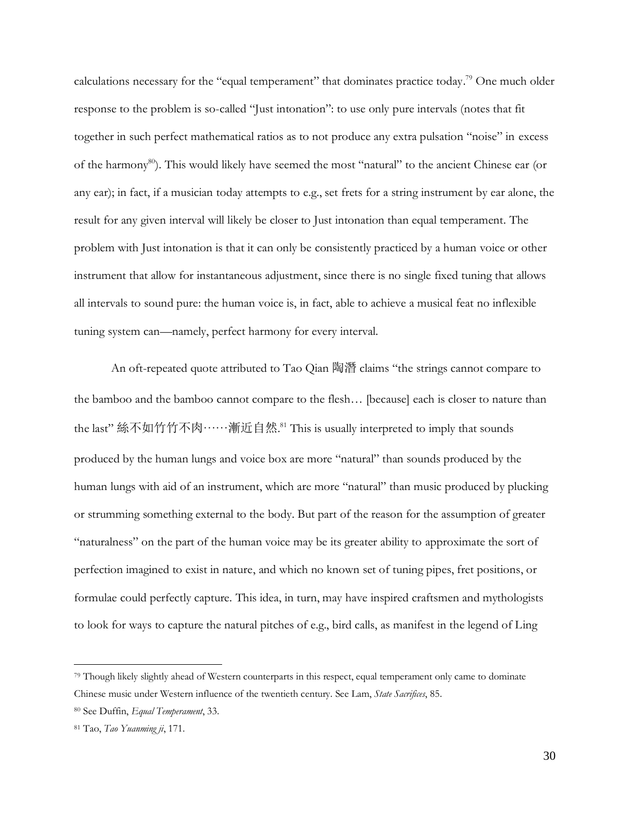calculations necessary for the "equal temperament" that dominates practice today.<sup>79</sup> One much older response to the problem is so-called "Just intonation": to use only pure intervals (notes that fit together in such perfect mathematical ratios as to not produce any extra pulsation "noise" in excess of the harmony<sup>80</sup>). This would likely have seemed the most "natural" to the ancient Chinese ear (or any ear); in fact, if a musician today attempts to e.g., set frets for a string instrument by ear alone, the result for any given interval will likely be closer to Just intonation than equal temperament. The problem with Just intonation is that it can only be consistently practiced by a human voice or other instrument that allow for instantaneous adjustment, since there is no single fixed tuning that allows all intervals to sound pure: the human voice is, in fact, able to achieve a musical feat no inflexible tuning system can—namely, perfect harmony for every interval.

An oft-repeated quote attributed to Tao Qian 陶潛 claims "the strings cannot compare to the bamboo and the bamboo cannot compare to the flesh… [because] each is closer to nature than the last" 絲不如竹竹不肉······漸近自然. <sup>81</sup> This is usually interpreted to imply that sounds produced by the human lungs and voice box are more "natural" than sounds produced by the human lungs with aid of an instrument, which are more "natural" than music produced by plucking or strumming something external to the body. But part of the reason for the assumption of greater "naturalness" on the part of the human voice may be its greater ability to approximate the sort of perfection imagined to exist in nature, and which no known set of tuning pipes, fret positions, or formulae could perfectly capture. This idea, in turn, may have inspired craftsmen and mythologists to look for ways to capture the natural pitches of e.g., bird calls, as manifest in the legend of Ling

<sup>79</sup> Though likely slightly ahead of Western counterparts in this respect, equal temperament only came to dominate Chinese music under Western influence of the twentieth century. See Lam, *State Sacrifices*, 85.

<sup>80</sup> See Duffin, *Equal Temperament*, 33.

<sup>81</sup> Tao, *Tao Yuanming ji*, 171.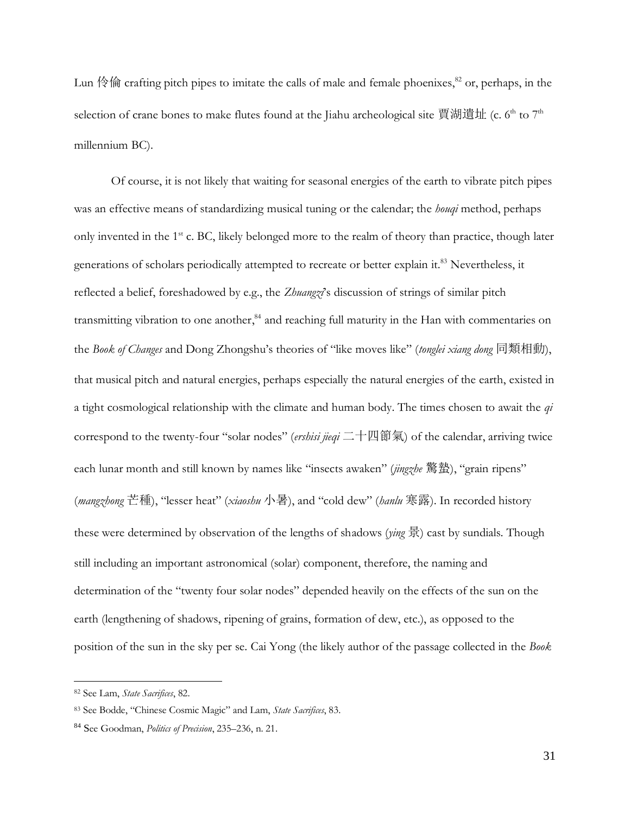Lun 伶倫 crafting pitch pipes to imitate the calls of male and female phoenixes,<sup>82</sup> or, perhaps, in the selection of crane bones to make flutes found at the Jiahu archeological site 賈湖遺址 (c. 6<sup>th</sup> to 7<sup>th</sup> millennium BC).

Of course, it is not likely that waiting for seasonal energies of the earth to vibrate pitch pipes was an effective means of standardizing musical tuning or the calendar; the *houqi* method, perhaps only invented in the 1<sup>st</sup> c. BC, likely belonged more to the realm of theory than practice, though later generations of scholars periodically attempted to recreate or better explain it.<sup>83</sup> Nevertheless, it reflected a belief, foreshadowed by e.g., the *Zhuangzi*'s discussion of strings of similar pitch transmitting vibration to one another,<sup>84</sup> and reaching full maturity in the Han with commentaries on the *Book of Changes* and Dong Zhongshu's theories of "like moves like" (*tonglei xiang dong* 同類相動), that musical pitch and natural energies, perhaps especially the natural energies of the earth, existed in a tight cosmological relationship with the climate and human body. The times chosen to await the *qi* correspond to the twenty-four "solar nodes" (*ershisi jieqi* 二十四節氣) of the calendar, arriving twice each lunar month and still known by names like "insects awaken" (*jingzhe* 驚蟄), "grain ripens" (*mangzhong* 芒種), "lesser heat" (*xiaoshu* 小暑), and "cold dew" (*hanlu* 寒露). In recorded history these were determined by observation of the lengths of shadows (*ying* 景) cast by sundials. Though still including an important astronomical (solar) component, therefore, the naming and determination of the "twenty four solar nodes" depended heavily on the effects of the sun on the earth (lengthening of shadows, ripening of grains, formation of dew, etc.), as opposed to the position of the sun in the sky per se. Cai Yong (the likely author of the passage collected in the *Book* 

<sup>82</sup> See Lam, *State Sacrifices*, 82.

<sup>83</sup> See Bodde, "Chinese Cosmic Magic" and Lam, *State Sacrifices*, 83.

<sup>84</sup> See Goodman, *Politics of Precision*, 235–236, n. 21.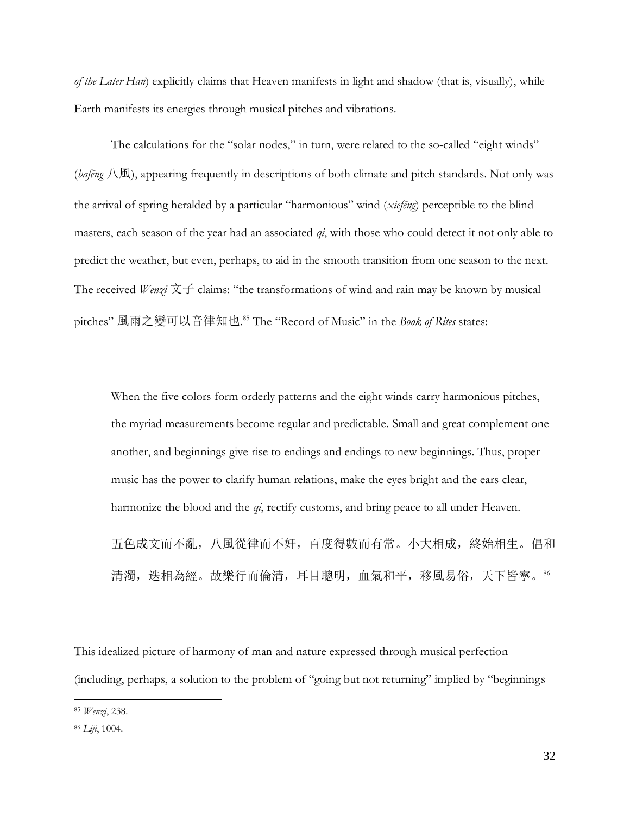*of the Later Han*) explicitly claims that Heaven manifests in light and shadow (that is, visually), while Earth manifests its energies through musical pitches and vibrations.

The calculations for the "solar nodes," in turn, were related to the so-called "eight winds" (*bafēng* 八風), appearing frequently in descriptions of both climate and pitch standards. Not only was the arrival of spring heralded by a particular "harmonious" wind (*xiefēng*) perceptible to the blind masters, each season of the year had an associated *qi*, with those who could detect it not only able to predict the weather, but even, perhaps, to aid in the smooth transition from one season to the next. The received *Wenzi* 文子 claims: "the transformations of wind and rain may be known by musical pitches" 風雨之變可以音律知也. <sup>85</sup> The "Record of Music" in the *Book of Rites* states:

When the five colors form orderly patterns and the eight winds carry harmonious pitches, the myriad measurements become regular and predictable. Small and great complement one another, and beginnings give rise to endings and endings to new beginnings. Thus, proper music has the power to clarify human relations, make the eyes bright and the ears clear, harmonize the blood and the *qi*, rectify customs, and bring peace to all under Heaven.

五色成文而不亂,八風從律而不奸,百度得數而有常。小大相成,終始相生。倡和 清濁, 迭相為經。故樂行而倫清, 耳目聰明, 血氣和平, 移風易俗, 天下皆寧。86

This idealized picture of harmony of man and nature expressed through musical perfection (including, perhaps, a solution to the problem of "going but not returning" implied by "beginnings

<sup>85</sup> *Wenzi*, 238.

<sup>86</sup> *Liji*, 1004.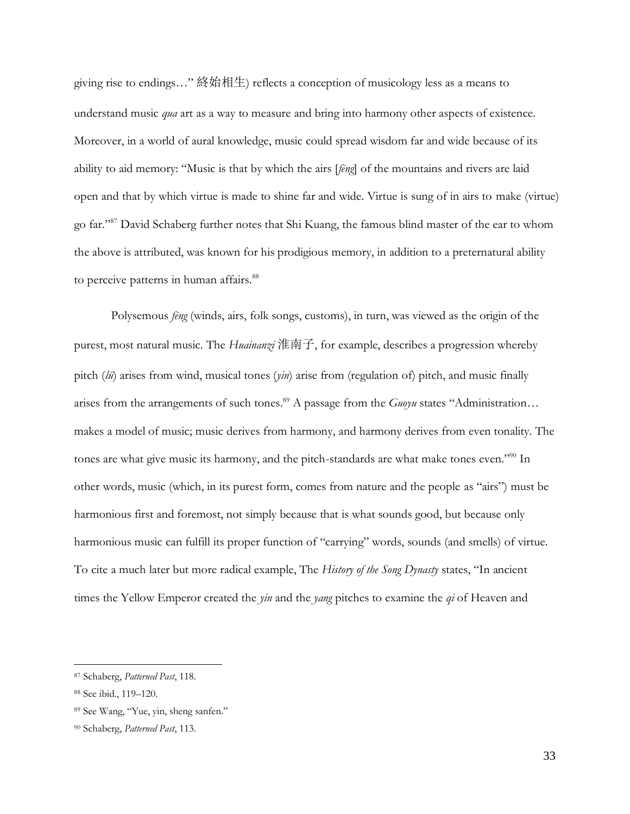giving rise to endings…" 終始相生) reflects a conception of musicology less as a means to understand music *qua* art as a way to measure and bring into harmony other aspects of existence. Moreover, in a world of aural knowledge, music could spread wisdom far and wide because of its ability to aid memory: "Music is that by which the airs [*fēng*] of the mountains and rivers are laid open and that by which virtue is made to shine far and wide. Virtue is sung of in airs to make (virtue) go far."<sup>87</sup> David Schaberg further notes that Shi Kuang, the famous blind master of the ear to whom the above is attributed, was known for his prodigious memory, in addition to a preternatural ability to perceive patterns in human affairs.<sup>88</sup>

Polysemous *fēng* (winds, airs, folk songs, customs), in turn, was viewed as the origin of the purest, most natural music. The *Huainanzi* 淮南子, for example, describes a progression whereby pitch (*lü*) arises from wind, musical tones (*yin*) arise from (regulation of) pitch, and music finally arises from the arrangements of such tones. <sup>89</sup> A passage from the *Guoyu* states "Administration… makes a model of music; music derives from harmony, and harmony derives from even tonality. The tones are what give music its harmony, and the pitch-standards are what make tones even."<sup>90</sup> In other words, music (which, in its purest form, comes from nature and the people as "airs") must be harmonious first and foremost, not simply because that is what sounds good, but because only harmonious music can fulfill its proper function of "carrying" words, sounds (and smells) of virtue. To cite a much later but more radical example, The *History of the Song Dynasty* states, "In ancient times the Yellow Emperor created the *yin* and the *yang* pitches to examine the *qi* of Heaven and

<sup>87</sup> Schaberg, *Patterned Past*, 118.

<sup>88</sup> See ibid., 119–120.

<sup>89</sup> See Wang, "Yue, yin, sheng sanfen."

<sup>90</sup> Schaberg, *Patterned Past*, 113.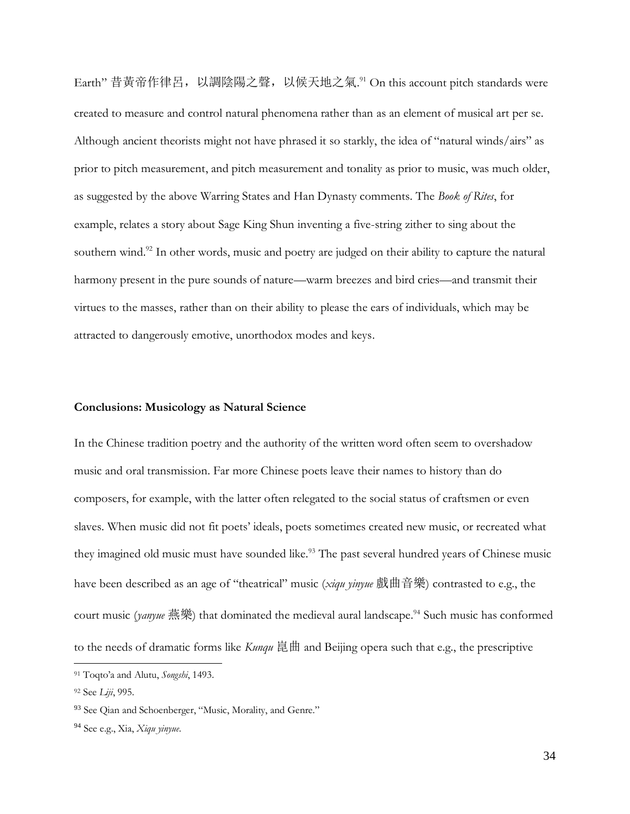Earth" 昔黄帝作律呂,以調陰陽之聲,以候天地之氣.91 On this account pitch standards were created to measure and control natural phenomena rather than as an element of musical art per se. Although ancient theorists might not have phrased it so starkly, the idea of "natural winds/airs" as prior to pitch measurement, and pitch measurement and tonality as prior to music, was much older, as suggested by the above Warring States and Han Dynasty comments. The *Book of Rites*, for example, relates a story about Sage King Shun inventing a five-string zither to sing about the southern wind.<sup>92</sup> In other words, music and poetry are judged on their ability to capture the natural harmony present in the pure sounds of nature—warm breezes and bird cries—and transmit their virtues to the masses, rather than on their ability to please the ears of individuals, which may be attracted to dangerously emotive, unorthodox modes and keys.

# **Conclusions: Musicology as Natural Science**

In the Chinese tradition poetry and the authority of the written word often seem to overshadow music and oral transmission. Far more Chinese poets leave their names to history than do composers, for example, with the latter often relegated to the social status of craftsmen or even slaves. When music did not fit poets' ideals, poets sometimes created new music, or recreated what they imagined old music must have sounded like.<sup>93</sup> The past several hundred years of Chinese music have been described as an age of "theatrical" music (*xiqu yinyue* 戲曲音樂) contrasted to e.g., the court music (*yanyue* 燕樂) that dominated the medieval aural landscape. <sup>94</sup> Such music has conformed to the needs of dramatic forms like *Kunqu* 崑曲 and Beijing opera such that e.g., the prescriptive

<sup>91</sup> Toqto'a and Alutu, *Songshi*, 1493.

<sup>92</sup> See *Liji*, 995.

<sup>&</sup>lt;sup>93</sup> See Qian and Schoenberger, "Music, Morality, and Genre."

<sup>94</sup> See e.g., Xia, *Xiqu yinyue*.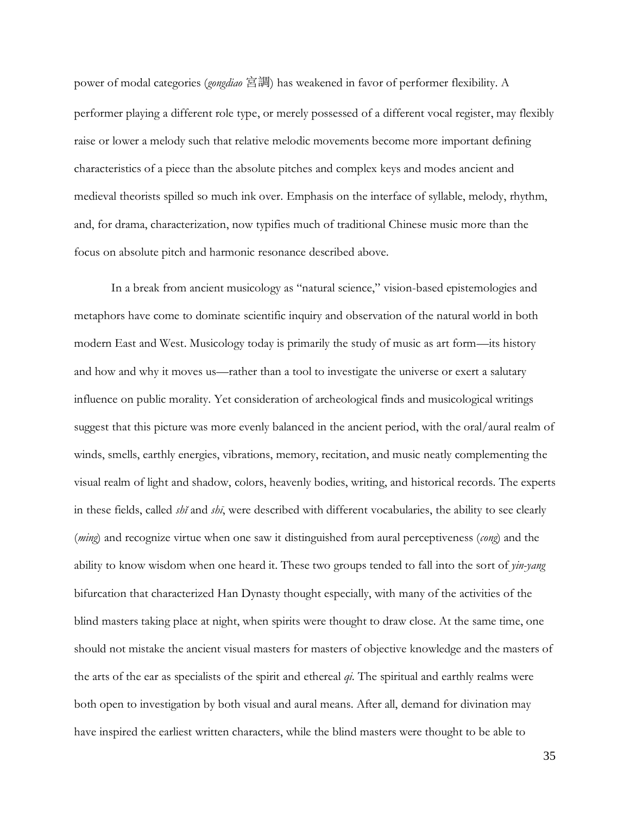power of modal categories (*gongdiao* 宮調) has weakened in favor of performer flexibility. A performer playing a different role type, or merely possessed of a different vocal register, may flexibly raise or lower a melody such that relative melodic movements become more important defining characteristics of a piece than the absolute pitches and complex keys and modes ancient and medieval theorists spilled so much ink over. Emphasis on the interface of syllable, melody, rhythm, and, for drama, characterization, now typifies much of traditional Chinese music more than the focus on absolute pitch and harmonic resonance described above.

In a break from ancient musicology as "natural science," vision-based epistemologies and metaphors have come to dominate scientific inquiry and observation of the natural world in both modern East and West. Musicology today is primarily the study of music as art form—its history and how and why it moves us—rather than a tool to investigate the universe or exert a salutary influence on public morality. Yet consideration of archeological finds and musicological writings suggest that this picture was more evenly balanced in the ancient period, with the oral/aural realm of winds, smells, earthly energies, vibrations, memory, recitation, and music neatly complementing the visual realm of light and shadow, colors, heavenly bodies, writing, and historical records. The experts in these fields, called *shĭ* and *shī*, were described with different vocabularies, the ability to see clearly (*ming*) and recognize virtue when one saw it distinguished from aural perceptiveness (*cong*) and the ability to know wisdom when one heard it. These two groups tended to fall into the sort of *yin-yang* bifurcation that characterized Han Dynasty thought especially, with many of the activities of the blind masters taking place at night, when spirits were thought to draw close. At the same time, one should not mistake the ancient visual masters for masters of objective knowledge and the masters of the arts of the ear as specialists of the spirit and ethereal *qi*. The spiritual and earthly realms were both open to investigation by both visual and aural means. After all, demand for divination may have inspired the earliest written characters, while the blind masters were thought to be able to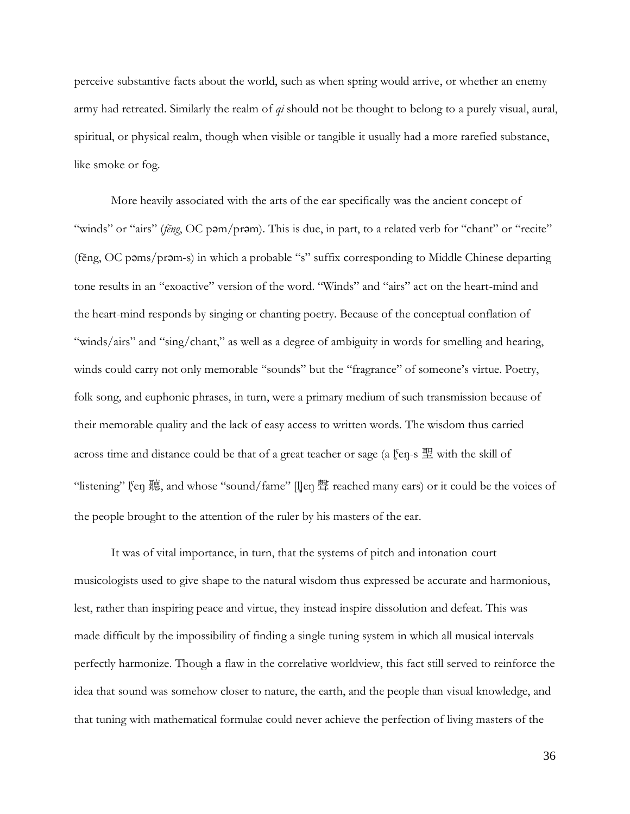perceive substantive facts about the world, such as when spring would arrive, or whether an enemy army had retreated. Similarly the realm of *qi* should not be thought to belong to a purely visual, aural, spiritual, or physical realm, though when visible or tangible it usually had a more rarefied substance, like smoke or fog.

More heavily associated with the arts of the ear specifically was the ancient concept of "winds" or "airs" (*fēng*, OC pam/pram). This is due, in part, to a related verb for "chant" or "recite" (fĕng, OC pəms/prəm-s) in which a probable "s" suffix corresponding to Middle Chinese departing tone results in an "exoactive" version of the word. "Winds" and "airs" act on the heart-mind and the heart-mind responds by singing or chanting poetry. Because of the conceptual conflation of "winds/airs" and "sing/chant," as well as a degree of ambiguity in words for smelling and hearing, winds could carry not only memorable "sounds" but the "fragrance" of someone's virtue. Poetry, folk song, and euphonic phrases, in turn, were a primary medium of such transmission because of their memorable quality and the lack of easy access to written words. The wisdom thus carried across time and distance could be that of a great teacher or sage (a  $\frac{e}{2}$ fen-s  $\frac{m}{2}$  with the skill of "listening" l̥<sup>s</sup>en 聽, and whose "sound/fame" [l̥]en 聲 reached many ears) or it could be the voices of the people brought to the attention of the ruler by his masters of the ear.

It was of vital importance, in turn, that the systems of pitch and intonation court musicologists used to give shape to the natural wisdom thus expressed be accurate and harmonious, lest, rather than inspiring peace and virtue, they instead inspire dissolution and defeat. This was made difficult by the impossibility of finding a single tuning system in which all musical intervals perfectly harmonize. Though a flaw in the correlative worldview, this fact still served to reinforce the idea that sound was somehow closer to nature, the earth, and the people than visual knowledge, and that tuning with mathematical formulae could never achieve the perfection of living masters of the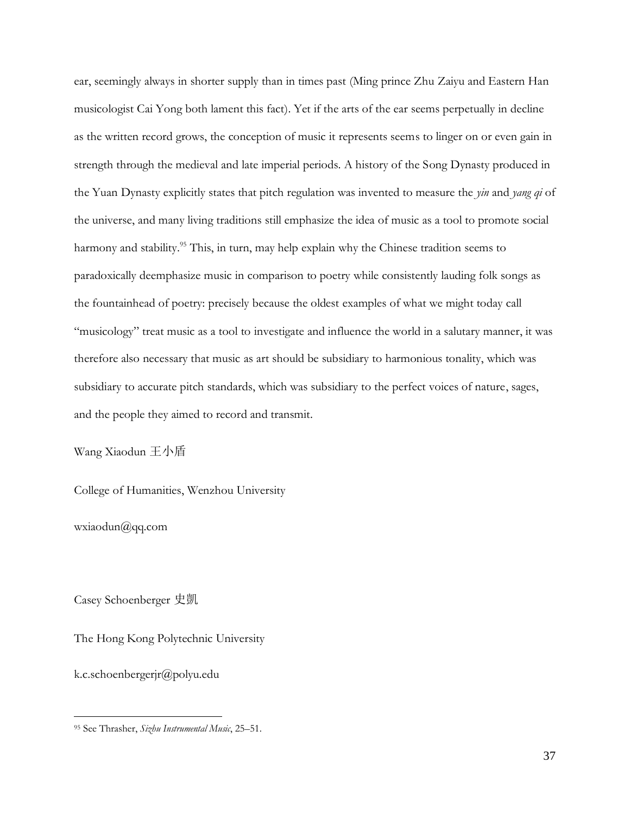ear, seemingly always in shorter supply than in times past (Ming prince Zhu Zaiyu and Eastern Han musicologist Cai Yong both lament this fact). Yet if the arts of the ear seems perpetually in decline as the written record grows, the conception of music it represents seems to linger on or even gain in strength through the medieval and late imperial periods. A history of the Song Dynasty produced in the Yuan Dynasty explicitly states that pitch regulation was invented to measure the *yin* and *yang qi* of the universe, and many living traditions still emphasize the idea of music as a tool to promote social harmony and stability.<sup>95</sup> This, in turn, may help explain why the Chinese tradition seems to paradoxically deemphasize music in comparison to poetry while consistently lauding folk songs as the fountainhead of poetry: precisely because the oldest examples of what we might today call "musicology" treat music as a tool to investigate and influence the world in a salutary manner, it was therefore also necessary that music as art should be subsidiary to harmonious tonality, which was subsidiary to accurate pitch standards, which was subsidiary to the perfect voices of nature, sages, and the people they aimed to record and transmit.

Wang Xiaodun 王小盾

College of Humanities, Wenzhou University

wxiaodun@qq.com

Casey Schoenberger 史凱

The Hong Kong Polytechnic University

k.c.schoenbergerjr@polyu.edu

<sup>95</sup> See Thrasher, *Sizhu Instrumental Music*, 25–51.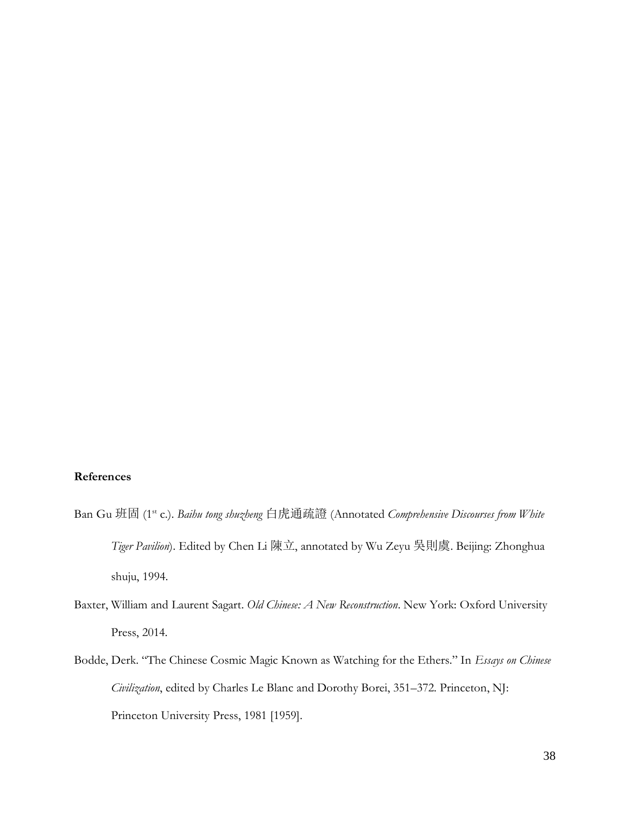### **References**

- Ban Gu 班固 (1<sup>st</sup> c.). *Baihu tong shuzheng* 白虎通疏證 (Annotated *Comprehensive Discourses from White Tiger Pavilion*). Edited by Chen Li 陳立, annotated by Wu Zeyu 吳則虞. Beijing: Zhonghua shuju, 1994.
- Baxter, William and Laurent Sagart. *Old Chinese: A New Reconstruction*. New York: Oxford University Press, 2014.
- Bodde, Derk. "The Chinese Cosmic Magic Known as Watching for the Ethers." In *Essays on Chinese Civilization*, edited by Charles Le Blanc and Dorothy Borei, 351–372. Princeton, NJ: Princeton University Press, 1981 [1959].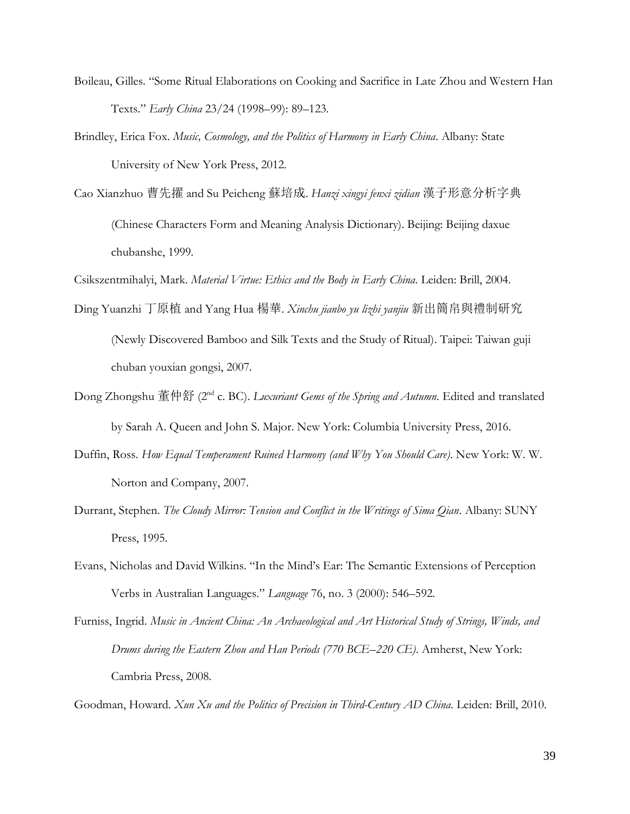- Boileau, Gilles. "Some Ritual Elaborations on Cooking and Sacrifice in Late Zhou and Western Han Texts." *Early China* 23/24 (1998–99): 89–123.
- Brindley, Erica Fox. *Music, Cosmology, and the Politics of Harmony in Early China*. Albany: State University of New York Press, 2012.
- Cao Xianzhuo 曹先擢 and Su Peicheng 蘇培成. *Hanzi xingyi fenxi zidian* 漢子形意分析字典 (Chinese Characters Form and Meaning Analysis Dictionary). Beijing: Beijing daxue chubanshe, 1999.

Csikszentmihalyi, Mark. *Material Virtue: Ethics and the Body in Early China*. Leiden: Brill, 2004.

- Ding Yuanzhi 丁原植 and Yang Hua 楊華. *Xinchu jianbo yu lizhi yanjiu* 新出簡帛與禮制研究 (Newly Discovered Bamboo and Silk Texts and the Study of Ritual). Taipei: Taiwan guji chuban youxian gongsi, 2007.
- Dong Zhongshu 董仲舒 (2<sup>nd</sup> c. BC). *Luxuriant Gems of the Spring and Autumn*. Edited and translated by Sarah A. Queen and John S. Major. New York: Columbia University Press, 2016.
- Duffin, Ross. *How Equal Temperament Ruined Harmony (and Why You Should Care)*. New York: W. W. Norton and Company, 2007.
- Durrant, Stephen. *The Cloudy Mirror: Tension and Conflict in the Writings of Sima Qian*. Albany: SUNY Press, 1995.
- Evans, Nicholas and David Wilkins. "In the Mind's Ear: The Semantic Extensions of Perception Verbs in Australian Languages." *Language* 76, no. 3 (2000): 546–592.
- Furniss, Ingrid. *Music in Ancient China: An Archaeological and Art Historical Study of Strings, Winds, and Drums during the Eastern Zhou and Han Periods (770 BCE–220 CE)*. Amherst, New York: Cambria Press, 2008.

Goodman, Howard. *Xun Xu and the Politics of Precision in Third-Century AD China*. Leiden: Brill, 2010.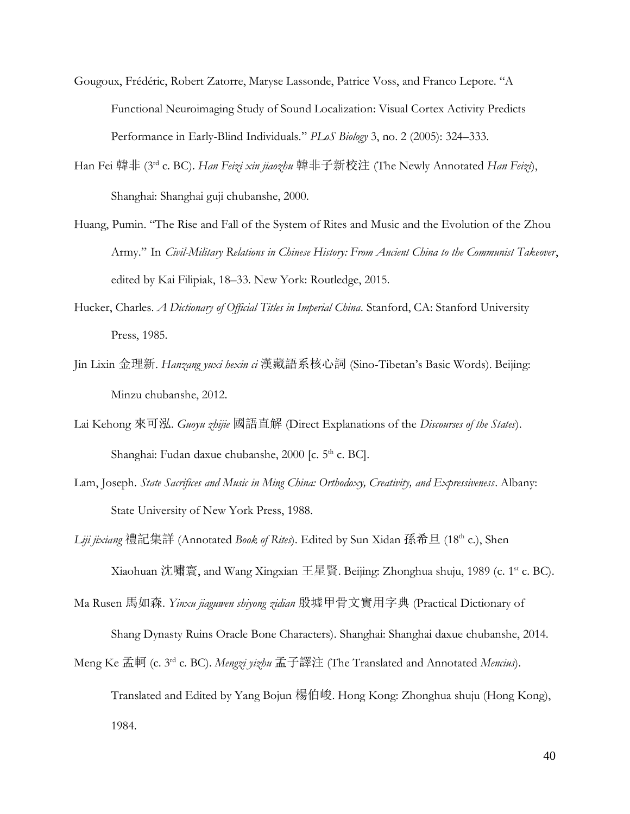- Gougoux, Frédéric, Robert Zatorre, Maryse Lassonde, Patrice Voss, and Franco Lepore. "A Functional Neuroimaging Study of Sound Localization: Visual Cortex Activity Predicts Performance in Early-Blind Individuals." *PLoS Biology* 3, no. 2 (2005): 324–333.
- Han Fei 韓非 (3rd c. BC). *Han Feizi xin jiaozhu* 韓非子新校注 (The Newly Annotated *Han Feizi*), Shanghai: Shanghai guji chubanshe, 2000.
- Huang, Pumin. "The Rise and Fall of the System of Rites and Music and the Evolution of the Zhou Army." In *Civil-Military Relations in Chinese History: From Ancient China to the Communist Takeover*, edited by Kai Filipiak, 18–33. New York: Routledge, 2015.
- Hucker, Charles. *A Dictionary of Official Titles in Imperial China*. Stanford, CA: Stanford University Press, 1985.
- Jin Lixin 金理新. *Hanzang yuxi hexin ci* 漢藏語系核心詞 (Sino-Tibetan's Basic Words). Beijing: Minzu chubanshe, 2012.
- Lai Kehong 來可泓. *Guoyu zhijie* 國語直解 (Direct Explanations of the *Discourses of the States*). Shanghai: Fudan daxue chubanshe, 2000 [c. 5<sup>th</sup> c. BC].
- Lam, Joseph. *State Sacrifices and Music in Ming China: Orthodoxy, Creativity, and Expressiveness*. Albany: State University of New York Press, 1988.
- *Liji jixiang* 禮記集詳 (Annotated *Book of Rites*). Edited by Sun Xidan 孫希旦 (18th c.), Shen Xiaohuan 沈嘯寰, and Wang Xingxian 王星賢. Beijing: Zhonghua shuju, 1989 (c. 1<sup>st</sup> c. BC).
- Ma Rusen 馬如森. *Yinxu jiaguwen shiyong zidian* 殷墟甲骨文實用字典 (Practical Dictionary of
	- Shang Dynasty Ruins Oracle Bone Characters). Shanghai: Shanghai daxue chubanshe, 2014.
- Meng Ke 孟軻 (c. 3rd c. BC). *Mengzi yizhu* 孟子譯注 (The Translated and Annotated *Mencius*).

Translated and Edited by Yang Bojun 楊伯峻. Hong Kong: Zhonghua shuju (Hong Kong), 1984.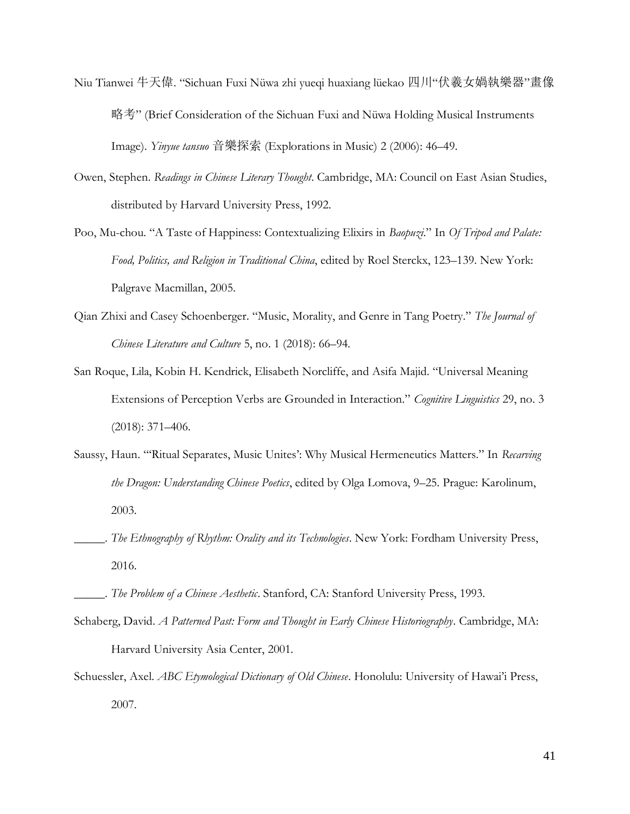- Niu Tianwei 牛天偉. "Sichuan Fuxi Nüwa zhi yueqi huaxiang lüekao 四川"伏羲女媧執樂器"畫像 略考" (Brief Consideration of the Sichuan Fuxi and Nüwa Holding Musical Instruments Image). *Yinyue tansuo* 音樂探索 (Explorations in Music) 2 (2006): 46–49.
- Owen, Stephen. *Readings in Chinese Literary Thought*. Cambridge, MA: Council on East Asian Studies, distributed by Harvard University Press, 1992.
- Poo, Mu-chou. "A Taste of Happiness: Contextualizing Elixirs in *Baopuzi*." In *Of Tripod and Palate: Food, Politics, and Religion in Traditional China*, edited by Roel Sterckx, 123–139. New York: Palgrave Macmillan, 2005.
- Qian Zhixi and Casey Schoenberger. "Music, Morality, and Genre in Tang Poetry." *The Journal of Chinese Literature and Culture* 5, no. 1 (2018): 66–94.
- San Roque, Lila, Kobin H. Kendrick, Elisabeth Norcliffe, and Asifa Majid. "Universal Meaning Extensions of Perception Verbs are Grounded in Interaction." *Cognitive Linguistics* 29, no. 3 (2018): 371–406.
- Saussy, Haun. "'Ritual Separates, Music Unites': Why Musical Hermeneutics Matters." In *Recarving the Dragon: Understanding Chinese Poetics*, edited by Olga Lomova, 9–25. Prague: Karolinum, 2003.
- \_\_\_\_\_. *The Ethnography of Rhythm: Orality and its Technologies*. New York: Fordham University Press, 2016.
- \_\_\_\_\_. *The Problem of a Chinese Aesthetic*. Stanford, CA: Stanford University Press, 1993.
- Schaberg, David. *A Patterned Past: Form and Thought in Early Chinese Historiography*. Cambridge, MA: Harvard University Asia Center, 2001.
- Schuessler, Axel. *ABC Etymological Dictionary of Old Chinese*. Honolulu: University of Hawai'i Press, 2007.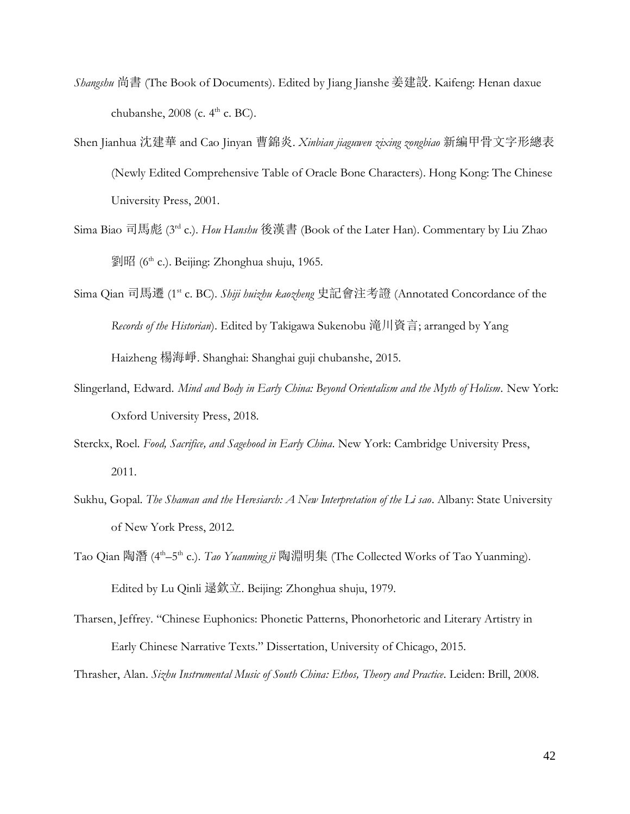- *Shangshu* 尚書 (The Book of Documents). Edited by Jiang Jianshe 姜建設. Kaifeng: Henan daxue chubanshe,  $2008$  (c.  $4<sup>th</sup>$  c. BC).
- Shen Jianhua 沈建華 and Cao Jinyan 曹錦炎. *Xinbian jiaguwen zixing zongbiao* 新編甲骨文字形總表 (Newly Edited Comprehensive Table of Oracle Bone Characters). Hong Kong: The Chinese University Press, 2001.
- Sima Biao 司馬彪 (3 rd c.). *Hou Hanshu* 後漢書 (Book of the Later Han). Commentary by Liu Zhao 劉昭 (6 th c.). Beijing: Zhonghua shuju, 1965.
- Sima Qian 司馬遷 (1 st c. BC). *Shiji huizhu kaozheng* 史記會注考證 (Annotated Concordance of the *Records of the Historian*). Edited by Takigawa Sukenobu 滝川資言; arranged by Yang Haizheng 楊海崢. Shanghai: Shanghai guji chubanshe, 2015.
- Slingerland, Edward. *Mind and Body in Early China: Beyond Orientalism and the Myth of Holism*. New York: Oxford University Press, 2018.
- Sterckx, Roel. *Food, Sacrifice, and Sagehood in Early China*. New York: Cambridge University Press, 2011.
- Sukhu, Gopal. *The Shaman and the Heresiarch: A New Interpretation of the Li sao*. Albany: State University of New York Press, 2012.
- Tao Qian 陶潛 (4<sup>th</sup>–5<sup>th</sup> c.). *Tao Yuanming ji* 陶淵明集 (The Collected Works of Tao Yuanming). Edited by Lu Qinli 逯欽立. Beijing: Zhonghua shuju, 1979.
- Tharsen, Jeffrey. "Chinese Euphonics: Phonetic Patterns, Phonorhetoric and Literary Artistry in Early Chinese Narrative Texts." Dissertation, University of Chicago, 2015.

Thrasher, Alan. *Sizhu Instrumental Music of South China: Ethos, Theory and Practice*. Leiden: Brill, 2008.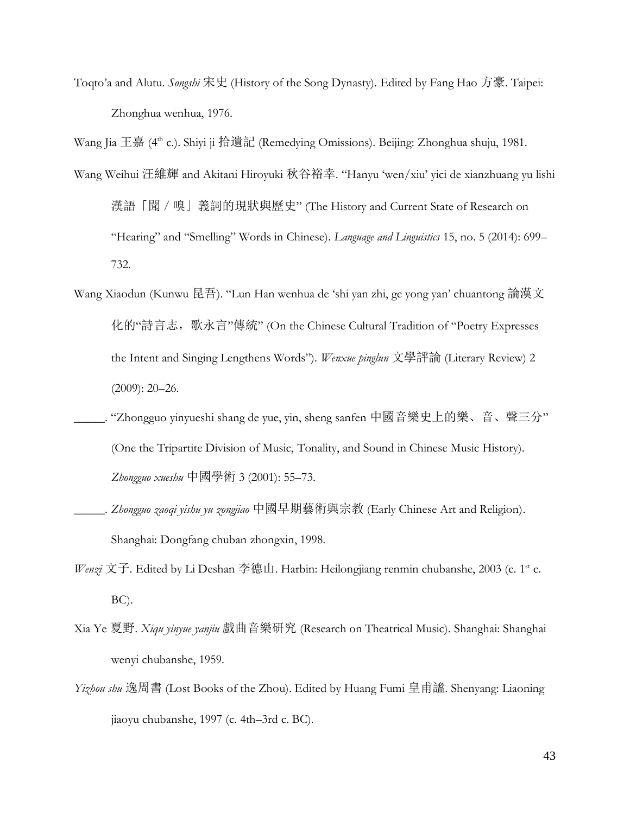Toqto'a and Alutu. *Songshi* 宋史 (History of the Song Dynasty). Edited by Fang Hao 方豪. Taipei: Zhonghua wenhua, 1976.

Wang Jia 王嘉 (4<sup>th</sup> c.). Shiyi ji 拾遺記 (Remedying Omissions). Beijing: Zhonghua shuju, 1981.

- Wang Weihui 汪維輝 and Akitani Hiroyuki 秋谷裕幸. "Hanyu 'wen/xiu' yici de xianzhuang yu lishi 漢語「聞 / 嗅」義詞的現狀與歷史" (The History and Current State of Research on "Hearing" and "Smelling" Words in Chinese). *Language and Linguistics* 15, no. 5 (2014): 699– 732.
- Wang Xiaodun (Kunwu 昆吾). "Lun Han wenhua de 'shi yan zhi, ge yong yan' chuantong 論漢文 化的"詩言志, 歌永言"傳統" (On the Chinese Cultural Tradition of "Poetry Expresses the Intent and Singing Lengthens Words"). *Wenxue pinglun* 文學評論 (Literary Review) 2 (2009): 20–26.
- \_\_\_\_\_. "Zhongguo yinyueshi shang de yue, yin, sheng sanfen 中國音樂史上的樂、音、聲三分" (One the Tripartite Division of Music, Tonality, and Sound in Chinese Music History). *Zhongguo xueshu* 中國學術 3 (2001): 55–73.
- \_\_\_\_\_. *Zhongguo zaoqi yishu yu zongjiao* 中國早期藝術與宗教 (Early Chinese Art and Religion). Shanghai: Dongfang chuban zhongxin, 1998.
- *Wenzi* 文子. Edited by Li Deshan 李德山. Harbin: Heilongjiang renmin chubanshe, 2003 (c. 1<sup>st</sup> c. BC).
- Xia Ye 夏野. *Xiqu yinyue yanjiu* 戲曲音樂研究 (Research on Theatrical Music). Shanghai: Shanghai wenyi chubanshe, 1959.
- *Yizhou shu* 逸周書 (Lost Books of the Zhou). Edited by Huang Fumi 皇甫謐. Shenyang: Liaoning jiaoyu chubanshe, 1997 (c. 4th–3rd c. BC).